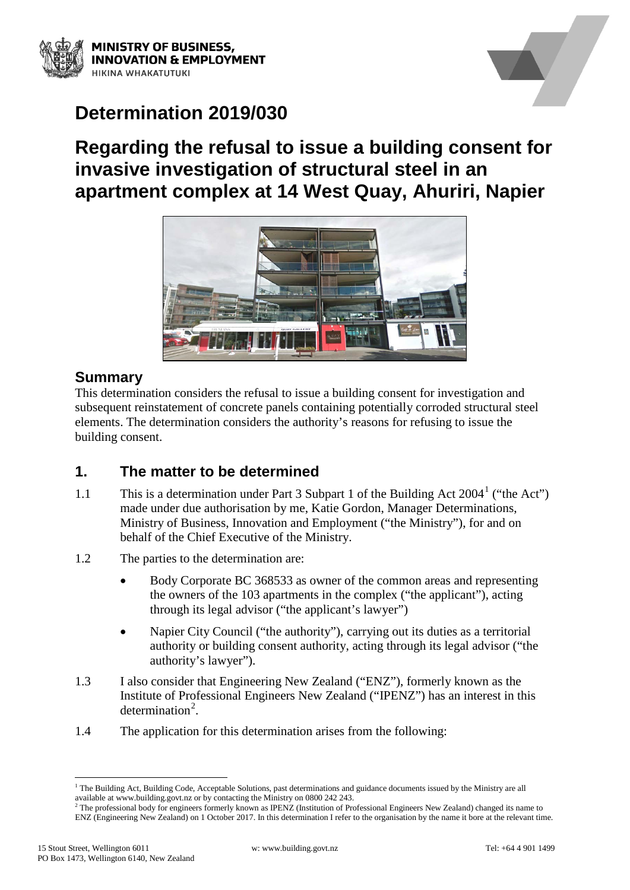



# **Determination 2019/030**

# **Regarding the refusal to issue a building consent for invasive investigation of structural steel in an apartment complex at 14 West Quay, Ahuriri, Napier**



## **Summary**

This determination considers the refusal to issue a building consent for investigation and subsequent reinstatement of concrete panels containing potentially corroded structural steel elements. The determination considers the authority's reasons for refusing to issue the building consent.

## **1. The matter to be determined**

- [1](#page-0-0).1 This is a determination under Part 3 Subpart 1 of the Building Act  $2004^1$  ("the Act") made under due authorisation by me, Katie Gordon, Manager Determinations, Ministry of Business, Innovation and Employment ("the Ministry"), for and on behalf of the Chief Executive of the Ministry.
- 1.2 The parties to the determination are:
	- Body Corporate BC 368533 as owner of the common areas and representing the owners of the 103 apartments in the complex ("the applicant"), acting through its legal advisor ("the applicant's lawyer")
	- Napier City Council ("the authority"), carrying out its duties as a territorial authority or building consent authority, acting through its legal advisor ("the authority's lawyer").
- 1.3 I also consider that Engineering New Zealand ("ENZ"), formerly known as the Institute of Professional Engineers New Zealand ("IPENZ") has an interest in this determination<sup>[2](#page-0-1)</sup>.
- 1.4 The application for this determination arises from the following:

<span id="page-0-0"></span> $1$  The Building Act, Building Code, Acceptable Solutions, past determinations and guidance documents issued by the Ministry are all available at www.building.govt.nz or by contacting the Ministry on 0800 242 243.

<span id="page-0-1"></span> $2$ <sup>2</sup> The professional body for engineers formerly known as IPENZ (Institution of Professional Engineers New Zealand) changed its name to ENZ (Engineering New Zealand) on 1 October 2017. In this determination I refer to the organisation by the name it bore at the relevant time.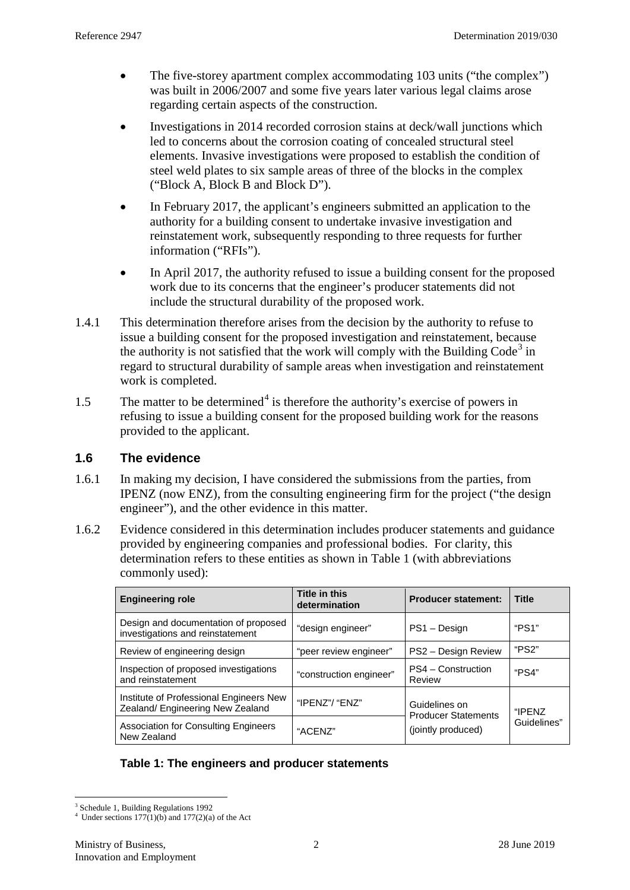- The five-storey apartment complex accommodating 103 units ("the complex") was built in 2006/2007 and some five years later various legal claims arose regarding certain aspects of the construction.
- Investigations in 2014 recorded corrosion stains at deck/wall junctions which led to concerns about the corrosion coating of concealed structural steel elements. Invasive investigations were proposed to establish the condition of steel weld plates to six sample areas of three of the blocks in the complex ("Block A, Block B and Block D").
- In February 2017, the applicant's engineers submitted an application to the authority for a building consent to undertake invasive investigation and reinstatement work, subsequently responding to three requests for further information ("RFIs").
- In April 2017, the authority refused to issue a building consent for the proposed work due to its concerns that the engineer's producer statements did not include the structural durability of the proposed work.
- 1.4.1 This determination therefore arises from the decision by the authority to refuse to issue a building consent for the proposed investigation and reinstatement, because the authority is not satisfied that the work will comply with the Building  $Code<sup>3</sup>$  $Code<sup>3</sup>$  $Code<sup>3</sup>$  in regard to structural durability of sample areas when investigation and reinstatement work is completed.
- 1.5 The matter to be determined<sup>[4](#page-1-1)</sup> is therefore the authority's exercise of powers in refusing to issue a building consent for the proposed building work for the reasons provided to the applicant.

### **1.6 The evidence**

- 1.6.1 In making my decision, I have considered the submissions from the parties, from IPENZ (now ENZ), from the consulting engineering firm for the project ("the design engineer"), and the other evidence in this matter.
- 1.6.2 Evidence considered in this determination includes producer statements and guidance provided by engineering companies and professional bodies. For clarity, this determination refers to these entities as shown in Table 1 (with abbreviations commonly used):

| <b>Engineering role</b>                                                     | <b>Title in this</b><br>determination | <b>Producer statement:</b>                                        | <b>Title</b>          |
|-----------------------------------------------------------------------------|---------------------------------------|-------------------------------------------------------------------|-----------------------|
| Design and documentation of proposed<br>investigations and reinstatement    | "design engineer"                     | PS1 - Design                                                      | "PS1"                 |
| Review of engineering design                                                | "peer review engineer"                | PS2 - Design Review                                               | "PS2"                 |
| Inspection of proposed investigations<br>and reinstatement                  | "construction engineer"               | PS4 - Construction<br>Review                                      | "PS4"                 |
| Institute of Professional Engineers New<br>Zealand/ Engineering New Zealand | "IPENZ"/ "ENZ"                        | Guidelines on<br><b>Producer Statements</b><br>(jointly produced) | "IPFNZ<br>Guidelines" |
| <b>Association for Consulting Engineers</b><br>New Zealand                  | "ACENZ"                               |                                                                   |                       |

#### **Table 1: The engineers and producer statements**

<span id="page-1-0"></span><sup>&</sup>lt;sup>3</sup> Schedule 1, Building Regulations 1992

<span id="page-1-1"></span><sup>&</sup>lt;sup>4</sup> Under sections  $177(1)(b)$  and  $177(2)(a)$  of the Act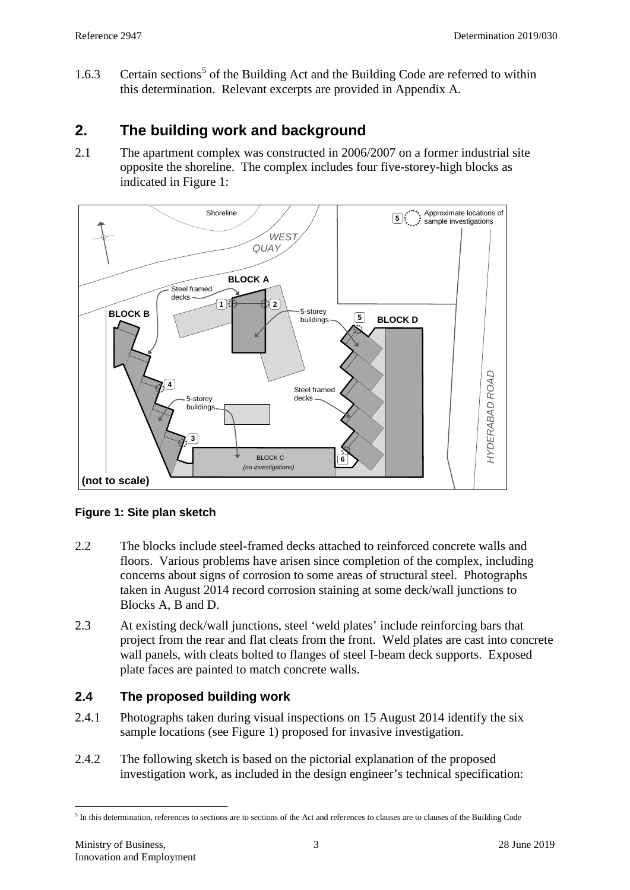1.6.3 Certain sections<sup>[5](#page-2-0)</sup> of the Building Act and the Building Code are referred to within this determination. Relevant excerpts are provided in Appendix A.

## **2. The building work and background**

2.1 The apartment complex was constructed in 2006/2007 on a former industrial site opposite the shoreline. The complex includes four five-storey-high blocks as indicated in Figure 1:



### **Figure 1: Site plan sketch**

- 2.2 The blocks include steel-framed decks attached to reinforced concrete walls and floors. Various problems have arisen since completion of the complex, including concerns about signs of corrosion to some areas of structural steel. Photographs taken in August 2014 record corrosion staining at some deck/wall junctions to Blocks A, B and D.
- 2.3 At existing deck/wall junctions, steel 'weld plates' include reinforcing bars that project from the rear and flat cleats from the front. Weld plates are cast into concrete wall panels, with cleats bolted to flanges of steel I-beam deck supports. Exposed plate faces are painted to match concrete walls.

### **2.4 The proposed building work**

- 2.4.1 Photographs taken during visual inspections on 15 August 2014 identify the six sample locations (see Figure 1) proposed for invasive investigation.
- 2.4.2 The following sketch is based on the pictorial explanation of the proposed investigation work, as included in the design engineer's technical specification:

<span id="page-2-0"></span> <sup>5</sup> In this determination, references to sections are to sections of the Act and references to clauses are to clauses of the Building Code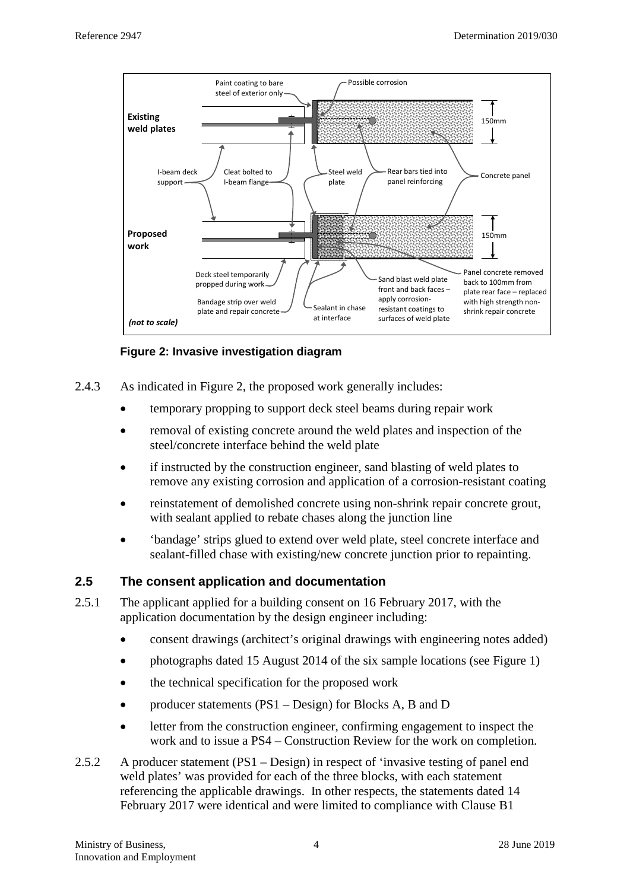

**Figure 2: Invasive investigation diagram**

- 2.4.3 As indicated in Figure 2, the proposed work generally includes:
	- temporary propping to support deck steel beams during repair work
	- removal of existing concrete around the weld plates and inspection of the steel/concrete interface behind the weld plate
	- if instructed by the construction engineer, sand blasting of weld plates to remove any existing corrosion and application of a corrosion-resistant coating
	- reinstatement of demolished concrete using non-shrink repair concrete grout, with sealant applied to rebate chases along the junction line
	- 'bandage' strips glued to extend over weld plate, steel concrete interface and sealant-filled chase with existing/new concrete junction prior to repainting.

#### **2.5 The consent application and documentation**

- 2.5.1 The applicant applied for a building consent on 16 February 2017, with the application documentation by the design engineer including:
	- consent drawings (architect's original drawings with engineering notes added)
	- photographs dated 15 August 2014 of the six sample locations (see Figure 1)
	- the technical specification for the proposed work
	- producer statements (PS1 Design) for Blocks A, B and D
	- letter from the construction engineer, confirming engagement to inspect the work and to issue a PS4 – Construction Review for the work on completion.
- 2.5.2 A producer statement (PS1 Design) in respect of 'invasive testing of panel end weld plates' was provided for each of the three blocks, with each statement referencing the applicable drawings. In other respects, the statements dated 14 February 2017 were identical and were limited to compliance with Clause B1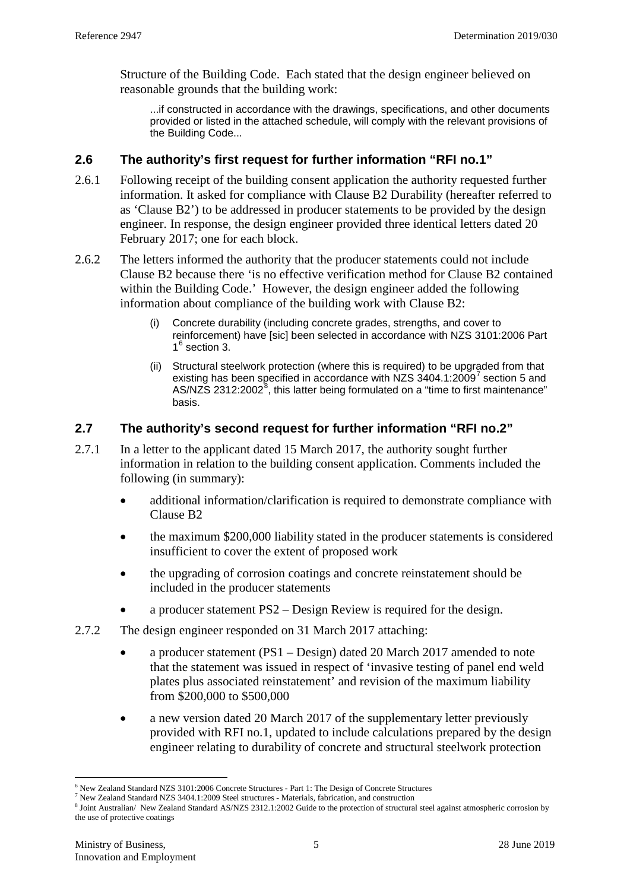Structure of the Building Code. Each stated that the design engineer believed on reasonable grounds that the building work:

...if constructed in accordance with the drawings, specifications, and other documents provided or listed in the attached schedule, will comply with the relevant provisions of the Building Code...

#### **2.6 The authority's first request for further information "RFI no.1"**

- 2.6.1 Following receipt of the building consent application the authority requested further information. It asked for compliance with Clause B2 Durability (hereafter referred to as 'Clause B2') to be addressed in producer statements to be provided by the design engineer. In response, the design engineer provided three identical letters dated 20 February 2017; one for each block.
- <span id="page-4-3"></span>2.6.2 The letters informed the authority that the producer statements could not include Clause B2 because there 'is no effective verification method for Clause B2 contained within the Building Code.' However, the design engineer added the following information about compliance of the building work with Clause B2:
	- Concrete durability (including concrete grades, strengths, and cover to reinforcement) have [sic] been selected in accordance with NZS 3101:2006 Part  $1<sup>6</sup>$  $1<sup>6</sup>$  $1<sup>6</sup>$  section 3.
	- (ii) Structural steelwork protection (where this is required) to be upgraded from that existing has been specified in accordance with NZS  $3404.1:2009<sup>7</sup>$  $3404.1:2009<sup>7</sup>$  $3404.1:2009<sup>7</sup>$  section 5 and AS/NZS 2312:2002 $^8$  $^8$ , this latter being formulated on a "time to first maintenance" basis.

### **2.7 The authority's second request for further information "RFI no.2"**

- 2.7.1 In a letter to the applicant dated 15 March 2017, the authority sought further information in relation to the building consent application. Comments included the following (in summary):
	- additional information/clarification is required to demonstrate compliance with Clause B2
	- the maximum \$200,000 liability stated in the producer statements is considered insufficient to cover the extent of proposed work
	- the upgrading of corrosion coatings and concrete reinstatement should be included in the producer statements
	- a producer statement PS2 Design Review is required for the design.
- 2.7.2 The design engineer responded on 31 March 2017 attaching:
	- a producer statement (PS1 Design) dated 20 March 2017 amended to note that the statement was issued in respect of 'invasive testing of panel end weld plates plus associated reinstatement' and revision of the maximum liability from \$200,000 to \$500,000
	- a new version dated 20 March 2017 of the supplementary letter previously provided with RFI no.1, updated to include calculations prepared by the design engineer relating to durability of concrete and structural steelwork protection

<span id="page-4-0"></span><sup>&</sup>lt;sup>6</sup> New Zealand Standard NZS 3101:2006 Concrete Structures - Part 1: The Design of Concrete Structures  $^7$  New Zealand Standard NZS 3404.1:2009 Steel structures - Materials, fabrication, and construction

<span id="page-4-1"></span>

<span id="page-4-2"></span><sup>8</sup> Joint Australian/ New Zealand Standard AS/NZS 2312.1:2002 Guide to the protection of structural steel against atmospheric corrosion by the use of protective coatings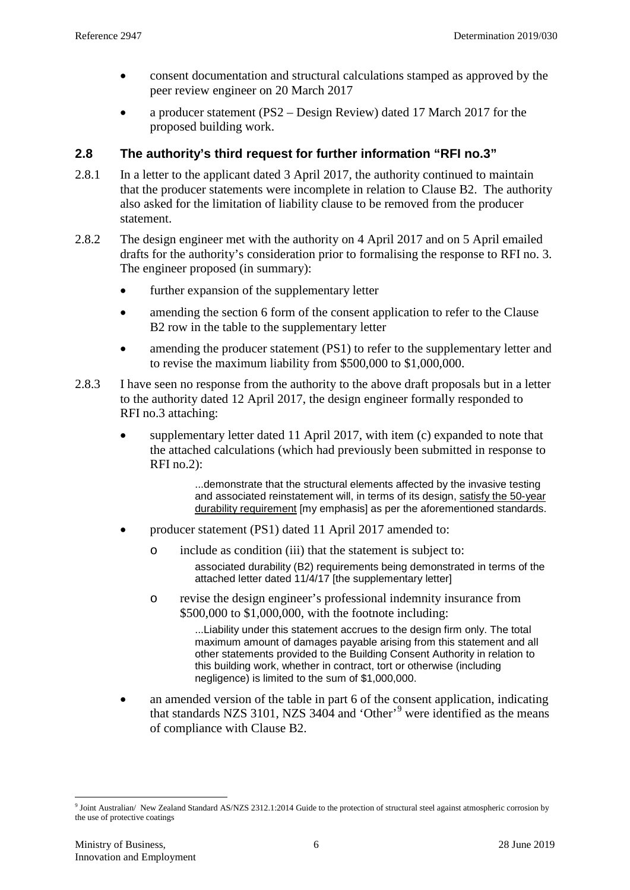- consent documentation and structural calculations stamped as approved by the peer review engineer on 20 March 2017
- a producer statement (PS2 Design Review) dated 17 March 2017 for the proposed building work.

#### **2.8 The authority's third request for further information "RFI no.3"**

- 2.8.1 In a letter to the applicant dated 3 April 2017, the authority continued to maintain that the producer statements were incomplete in relation to Clause B2. The authority also asked for the limitation of liability clause to be removed from the producer statement.
- 2.8.2 The design engineer met with the authority on 4 April 2017 and on 5 April emailed drafts for the authority's consideration prior to formalising the response to RFI no. 3. The engineer proposed (in summary):
	- further expansion of the supplementary letter
	- amending the section 6 form of the consent application to refer to the Clause B2 row in the table to the supplementary letter
	- amending the producer statement (PS1) to refer to the supplementary letter and to revise the maximum liability from \$500,000 to \$1,000,000.
- <span id="page-5-1"></span>2.8.3 I have seen no response from the authority to the above draft proposals but in a letter to the authority dated 12 April 2017, the design engineer formally responded to RFI no.3 attaching:
	- supplementary letter dated 11 April 2017, with item (c) expanded to note that the attached calculations (which had previously been submitted in response to RFI no.2):

...demonstrate that the structural elements affected by the invasive testing and associated reinstatement will, in terms of its design, satisfy the 50-year durability requirement [my emphasis] as per the aforementioned standards.

- producer statement (PS1) dated 11 April 2017 amended to:
	- o include as condition (iii) that the statement is subject to:

associated durability (B2) requirements being demonstrated in terms of the attached letter dated 11/4/17 [the supplementary letter]

o revise the design engineer's professional indemnity insurance from \$500,000 to \$1,000,000, with the footnote including:

> ...Liability under this statement accrues to the design firm only. The total maximum amount of damages payable arising from this statement and all other statements provided to the Building Consent Authority in relation to this building work, whether in contract, tort or otherwise (including negligence) is limited to the sum of \$1,000,000.

• an amended version of the table in part 6 of the consent application, indicating that standards NZS 3101, NZS  $3404$  and 'Other'<sup>[9](#page-5-0)</sup> were identified as the means of compliance with Clause B2.

<span id="page-5-0"></span> <sup>9</sup> Joint Australian/ New Zealand Standard AS/NZS 2312.1:2014 Guide to the protection of structural steel against atmospheric corrosion by the use of protective coatings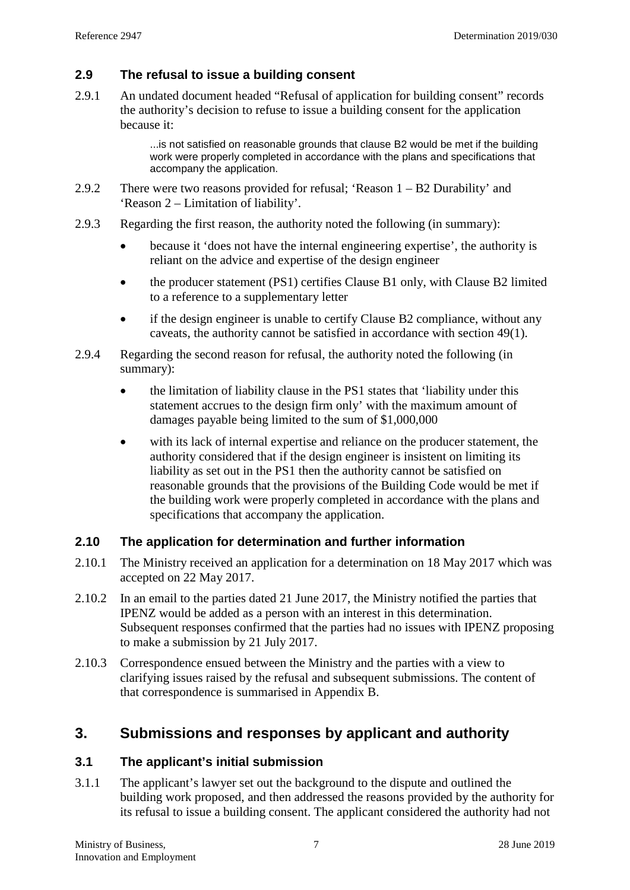### **2.9 The refusal to issue a building consent**

2.9.1 An undated document headed "Refusal of application for building consent" records the authority's decision to refuse to issue a building consent for the application because it:

> ...is not satisfied on reasonable grounds that clause B2 would be met if the building work were properly completed in accordance with the plans and specifications that accompany the application.

- 2.9.2 There were two reasons provided for refusal; 'Reason 1 B2 Durability' and 'Reason 2 – Limitation of liability'.
- 2.9.3 Regarding the first reason, the authority noted the following (in summary):
	- because it 'does not have the internal engineering expertise', the authority is reliant on the advice and expertise of the design engineer
	- the producer statement (PS1) certifies Clause B1 only, with Clause B2 limited to a reference to a supplementary letter
	- if the design engineer is unable to certify Clause B2 compliance, without any caveats, the authority cannot be satisfied in accordance with section 49(1).
- 2.9.4 Regarding the second reason for refusal, the authority noted the following (in summary):
	- the limitation of liability clause in the PS1 states that 'liability under this statement accrues to the design firm only' with the maximum amount of damages payable being limited to the sum of \$1,000,000
	- with its lack of internal expertise and reliance on the producer statement, the authority considered that if the design engineer is insistent on limiting its liability as set out in the PS1 then the authority cannot be satisfied on reasonable grounds that the provisions of the Building Code would be met if the building work were properly completed in accordance with the plans and specifications that accompany the application.

## **2.10 The application for determination and further information**

- 2.10.1 The Ministry received an application for a determination on 18 May 2017 which was accepted on 22 May 2017.
- 2.10.2 In an email to the parties dated 21 June 2017, the Ministry notified the parties that IPENZ would be added as a person with an interest in this determination. Subsequent responses confirmed that the parties had no issues with IPENZ proposing to make a submission by 21 July 2017.
- <span id="page-6-0"></span>2.10.3 Correspondence ensued between the Ministry and the parties with a view to clarifying issues raised by the refusal and subsequent submissions. The content of that correspondence is summarised in Appendix B.

## **3. Submissions and responses by applicant and authority**

### **3.1 The applicant's initial submission**

3.1.1 The applicant's lawyer set out the background to the dispute and outlined the building work proposed, and then addressed the reasons provided by the authority for its refusal to issue a building consent. The applicant considered the authority had not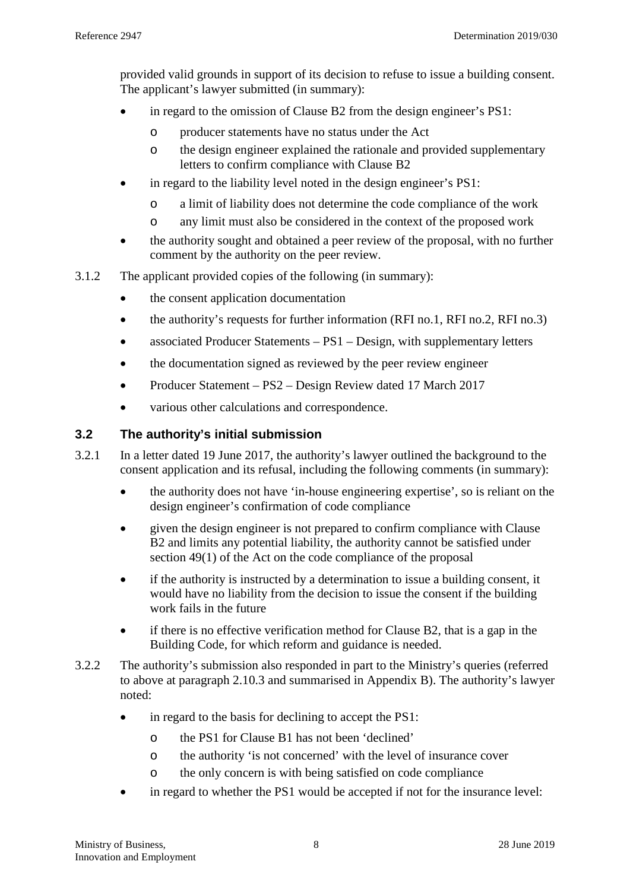provided valid grounds in support of its decision to refuse to issue a building consent. The applicant's lawyer submitted (in summary):

- in regard to the omission of Clause B2 from the design engineer's PS1:
	- o producer statements have no status under the Act
	- o the design engineer explained the rationale and provided supplementary letters to confirm compliance with Clause B2
- in regard to the liability level noted in the design engineer's PS1:
	- o a limit of liability does not determine the code compliance of the work
	- o any limit must also be considered in the context of the proposed work
- the authority sought and obtained a peer review of the proposal, with no further comment by the authority on the peer review.
- 3.1.2 The applicant provided copies of the following (in summary):
	- the consent application documentation
	- the authority's requests for further information (RFI no.1, RFI no.2, RFI no.3)
	- associated Producer Statements  $PS1 Design$ , with supplementary letters
	- the documentation signed as reviewed by the peer review engineer
	- Producer Statement PS2 Design Review dated 17 March 2017
	- various other calculations and correspondence.

### <span id="page-7-0"></span>**3.2 The authority's initial submission**

- 3.2.1 In a letter dated 19 June 2017, the authority's lawyer outlined the background to the consent application and its refusal, including the following comments (in summary):
	- the authority does not have 'in-house engineering expertise', so is reliant on the design engineer's confirmation of code compliance
	- given the design engineer is not prepared to confirm compliance with Clause B2 and limits any potential liability, the authority cannot be satisfied under section 49(1) of the Act on the code compliance of the proposal
	- if the authority is instructed by a determination to issue a building consent, it would have no liability from the decision to issue the consent if the building work fails in the future
	- if there is no effective verification method for Clause B2, that is a gap in the Building Code, for which reform and guidance is needed.
- 3.2.2 The authority's submission also responded in part to the Ministry's queries (referred to above at paragraph [2.10.3](#page-6-0) and summarised in Appendix B). The authority's lawyer noted:
	- in regard to the basis for declining to accept the PS1:
		- o the PS1 for Clause B1 has not been 'declined'
		- o the authority 'is not concerned' with the level of insurance cover
		- o the only concern is with being satisfied on code compliance
	- in regard to whether the PS1 would be accepted if not for the insurance level: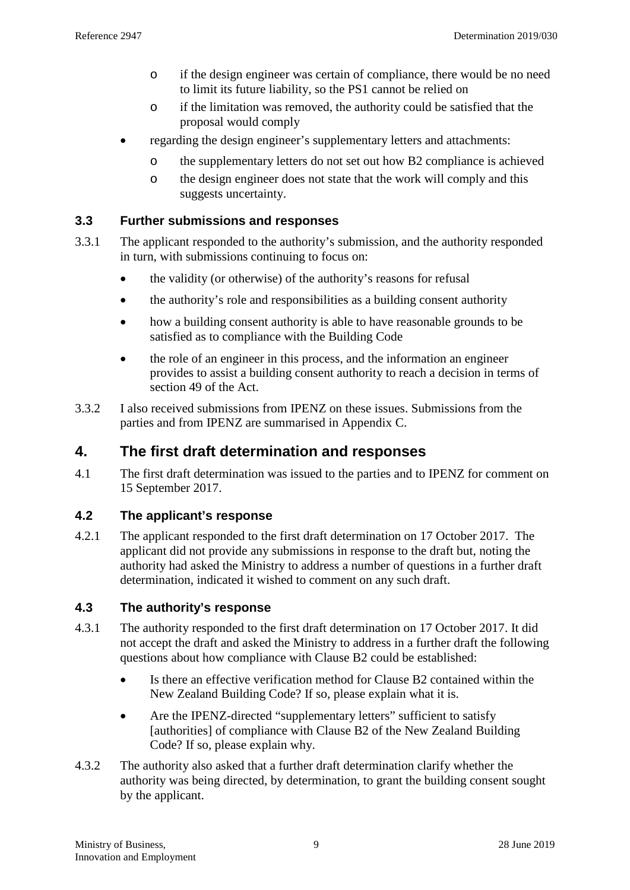- o if the design engineer was certain of compliance, there would be no need to limit its future liability, so the PS1 cannot be relied on
- o if the limitation was removed, the authority could be satisfied that the proposal would comply
- regarding the design engineer's supplementary letters and attachments:
	- o the supplementary letters do not set out how B2 compliance is achieved
	- o the design engineer does not state that the work will comply and this suggests uncertainty.

#### **3.3 Further submissions and responses**

- 3.3.1 The applicant responded to the authority's submission, and the authority responded in turn, with submissions continuing to focus on:
	- the validity (or otherwise) of the authority's reasons for refusal
	- the authority's role and responsibilities as a building consent authority
	- how a building consent authority is able to have reasonable grounds to be satisfied as to compliance with the Building Code
	- the role of an engineer in this process, and the information an engineer provides to assist a building consent authority to reach a decision in terms of section 49 of the Act.
- 3.3.2 I also received submissions from IPENZ on these issues. Submissions from the parties and from IPENZ are summarised in Appendix C.

## **4. The first draft determination and responses**

4.1 The first draft determination was issued to the parties and to IPENZ for comment on 15 September 2017.

### **4.2 The applicant's response**

4.2.1 The applicant responded to the first draft determination on 17 October 2017. The applicant did not provide any submissions in response to the draft but, noting the authority had asked the Ministry to address a number of questions in a further draft determination, indicated it wished to comment on any such draft.

### <span id="page-8-0"></span>**4.3 The authority's response**

- 4.3.1 The authority responded to the first draft determination on 17 October 2017. It did not accept the draft and asked the Ministry to address in a further draft the following questions about how compliance with Clause B2 could be established:
	- Is there an effective verification method for Clause B2 contained within the New Zealand Building Code? If so, please explain what it is.
	- Are the IPENZ-directed "supplementary letters" sufficient to satisfy [authorities] of compliance with Clause B2 of the New Zealand Building Code? If so, please explain why.
- 4.3.2 The authority also asked that a further draft determination clarify whether the authority was being directed, by determination, to grant the building consent sought by the applicant.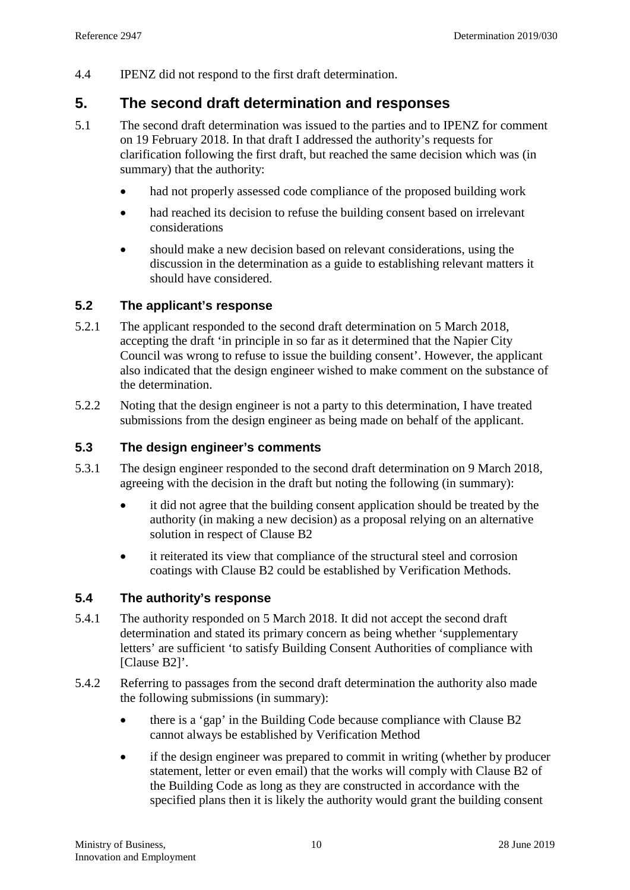4.4 IPENZ did not respond to the first draft determination.

## **5. The second draft determination and responses**

- <span id="page-9-0"></span>5.1 The second draft determination was issued to the parties and to IPENZ for comment on 19 February 2018. In that draft I addressed the authority's requests for clarification following the first draft, but reached the same decision which was (in summary) that the authority:
	- had not properly assessed code compliance of the proposed building work
	- had reached its decision to refuse the building consent based on irrelevant considerations
	- should make a new decision based on relevant considerations, using the discussion in the determination as a guide to establishing relevant matters it should have considered.

#### **5.2 The applicant's response**

- 5.2.1 The applicant responded to the second draft determination on 5 March 2018, accepting the draft 'in principle in so far as it determined that the Napier City Council was wrong to refuse to issue the building consent'. However, the applicant also indicated that the design engineer wished to make comment on the substance of the determination.
- 5.2.2 Noting that the design engineer is not a party to this determination, I have treated submissions from the design engineer as being made on behalf of the applicant.

#### <span id="page-9-2"></span>**5.3 The design engineer's comments**

- 5.3.1 The design engineer responded to the second draft determination on 9 March 2018, agreeing with the decision in the draft but noting the following (in summary):
	- it did not agree that the building consent application should be treated by the authority (in making a new decision) as a proposal relying on an alternative solution in respect of Clause B2
	- it reiterated its view that compliance of the structural steel and corrosion coatings with Clause B2 could be established by Verification Methods.

#### <span id="page-9-1"></span>**5.4 The authority's response**

- 5.4.1 The authority responded on 5 March 2018. It did not accept the second draft determination and stated its primary concern as being whether 'supplementary letters' are sufficient 'to satisfy Building Consent Authorities of compliance with [Clause B2]'.
- 5.4.2 Referring to passages from the second draft determination the authority also made the following submissions (in summary):
	- there is a 'gap' in the Building Code because compliance with Clause B2 cannot always be established by Verification Method
	- if the design engineer was prepared to commit in writing (whether by producer statement, letter or even email) that the works will comply with Clause B2 of the Building Code as long as they are constructed in accordance with the specified plans then it is likely the authority would grant the building consent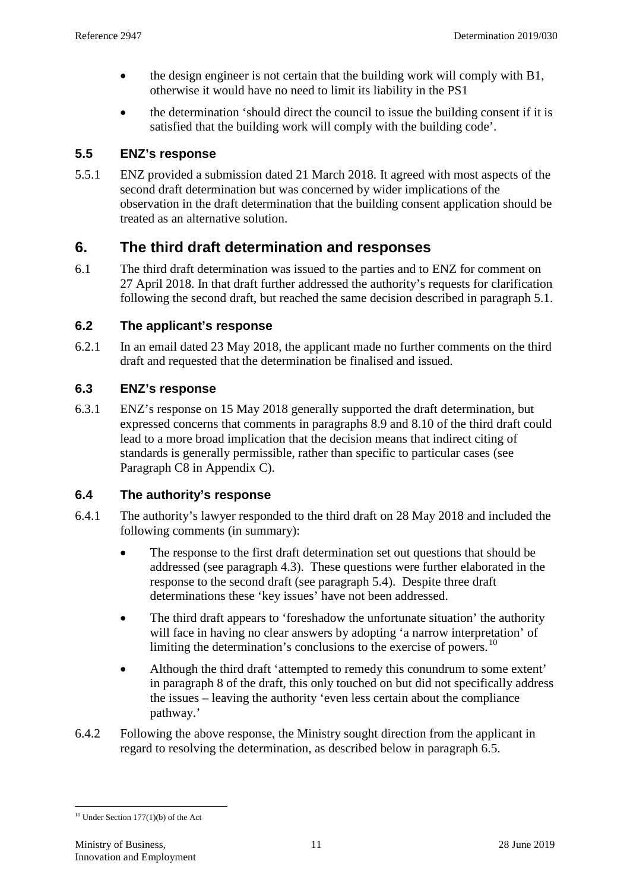- the design engineer is not certain that the building work will comply with B1, otherwise it would have no need to limit its liability in the PS1
- the determination 'should direct the council to issue the building consent if it is satisfied that the building work will comply with the building code'.

#### **5.5 ENZ's response**

5.5.1 ENZ provided a submission dated 21 March 2018. It agreed with most aspects of the second draft determination but was concerned by wider implications of the observation in the draft determination that the building consent application should be treated as an alternative solution.

## **6. The third draft determination and responses**

6.1 The third draft determination was issued to the parties and to ENZ for comment on 27 April 2018. In that draft further addressed the authority's requests for clarification following the second draft, but reached the same decision described in paragraph [5.1.](#page-9-0)

### **6.2 The applicant's response**

6.2.1 In an email dated 23 May 2018, the applicant made no further comments on the third draft and requested that the determination be finalised and issued.

#### **6.3 ENZ's response**

6.3.1 ENZ's response on 15 May 2018 generally supported the draft determination, but expressed concerns that comments in paragraphs 8.9 and 8.10 of the third draft could lead to a more broad implication that the decision means that indirect citing of standards is generally permissible, rather than specific to particular cases (see Paragraph [C8](#page-27-0) in Appendix C).

### <span id="page-10-1"></span>**6.4 The authority's response**

- 6.4.1 The authority's lawyer responded to the third draft on 28 May 2018 and included the following comments (in summary):
	- The response to the first draft determination set out questions that should be addressed (see paragraph [4.3\)](#page-8-0). These questions were further elaborated in the response to the second draft (see paragraph [5.4\)](#page-9-1). Despite three draft determinations these 'key issues' have not been addressed.
	- The third draft appears to 'foreshadow the unfortunate situation' the authority will face in having no clear answers by adopting 'a narrow interpretation' of limiting the determination's conclusions to the exercise of powers.<sup>[10](#page-10-0)</sup>
	- Although the third draft 'attempted to remedy this conundrum to some extent' in paragraph 8 of the draft, this only touched on but did not specifically address the issues – leaving the authority 'even less certain about the compliance pathway.'
- 6.4.2 Following the above response, the Ministry sought direction from the applicant in regard to resolving the determination, as described below in paragraph [6.5.](#page-11-0)

<span id="page-10-0"></span> $10$  Under Section 177(1)(b) of the Act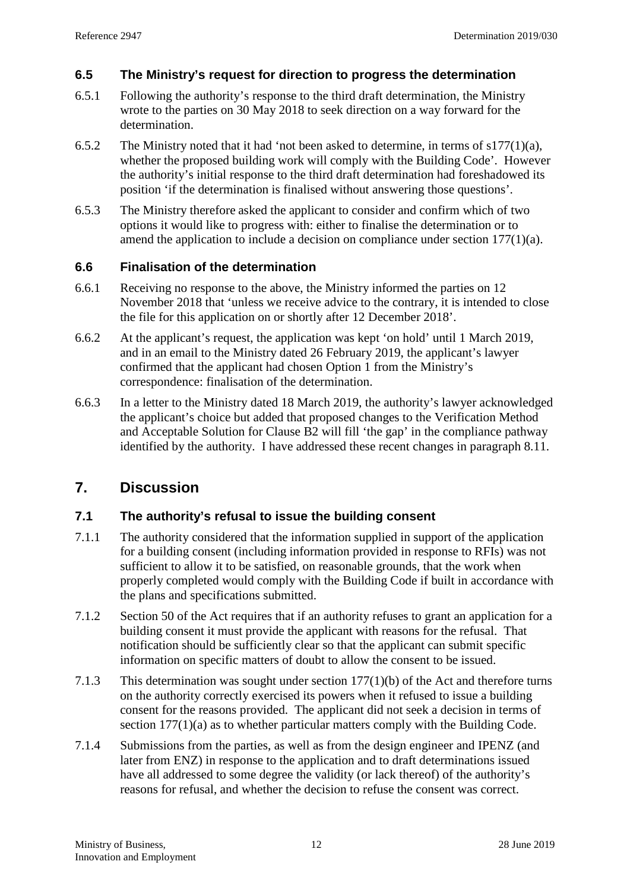### <span id="page-11-0"></span>**6.5 The Ministry's request for direction to progress the determination**

- 6.5.1 Following the authority's response to the third draft determination, the Ministry wrote to the parties on 30 May 2018 to seek direction on a way forward for the determination.
- 6.5.2 The Ministry noted that it had 'not been asked to determine, in terms of s177(1)(a), whether the proposed building work will comply with the Building Code'. However the authority's initial response to the third draft determination had foreshadowed its position 'if the determination is finalised without answering those questions'.
- 6.5.3 The Ministry therefore asked the applicant to consider and confirm which of two options it would like to progress with: either to finalise the determination or to amend the application to include a decision on compliance under section 177(1)(a).

### **6.6 Finalisation of the determination**

- 6.6.1 Receiving no response to the above, the Ministry informed the parties on 12 November 2018 that 'unless we receive advice to the contrary, it is intended to close the file for this application on or shortly after 12 December 2018'.
- 6.6.2 At the applicant's request, the application was kept 'on hold' until 1 March 2019, and in an email to the Ministry dated 26 February 2019, the applicant's lawyer confirmed that the applicant had chosen Option 1 from the Ministry's correspondence: finalisation of the determination.
- 6.6.3 In a letter to the Ministry dated 18 March 2019, the authority's lawyer acknowledged the applicant's choice but added that proposed changes to the Verification Method and Acceptable Solution for Clause B2 will fill 'the gap' in the compliance pathway identified by the authority. I have addressed these recent changes in paragraph [8.11.](#page-17-0)

## **7. Discussion**

### **7.1 The authority's refusal to issue the building consent**

- 7.1.1 The authority considered that the information supplied in support of the application for a building consent (including information provided in response to RFIs) was not sufficient to allow it to be satisfied, on reasonable grounds, that the work when properly completed would comply with the Building Code if built in accordance with the plans and specifications submitted.
- 7.1.2 Section 50 of the Act requires that if an authority refuses to grant an application for a building consent it must provide the applicant with reasons for the refusal. That notification should be sufficiently clear so that the applicant can submit specific information on specific matters of doubt to allow the consent to be issued.
- 7.1.3 This determination was sought under section 177(1)(b) of the Act and therefore turns on the authority correctly exercised its powers when it refused to issue a building consent for the reasons provided. The applicant did not seek a decision in terms of section 177(1)(a) as to whether particular matters comply with the Building Code.
- 7.1.4 Submissions from the parties, as well as from the design engineer and IPENZ (and later from ENZ) in response to the application and to draft determinations issued have all addressed to some degree the validity (or lack thereof) of the authority's reasons for refusal, and whether the decision to refuse the consent was correct.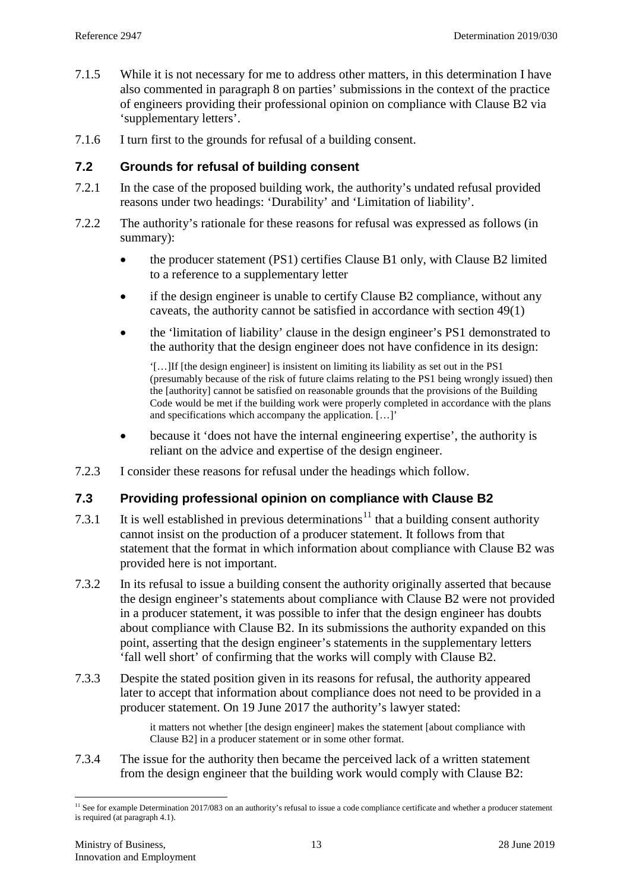- 7.1.5 While it is not necessary for me to address other matters, in this determination I have also commented in paragraph [8](#page-15-0) on parties' submissions in the context of the practice of engineers providing their professional opinion on compliance with Clause B2 via 'supplementary letters'.
- 7.1.6 I turn first to the grounds for refusal of a building consent.

#### **7.2 Grounds for refusal of building consent**

- 7.2.1 In the case of the proposed building work, the authority's undated refusal provided reasons under two headings: 'Durability' and 'Limitation of liability'.
- 7.2.2 The authority's rationale for these reasons for refusal was expressed as follows (in summary):
	- the producer statement (PS1) certifies Clause B1 only, with Clause B2 limited to a reference to a supplementary letter
	- if the design engineer is unable to certify Clause B2 compliance, without any caveats, the authority cannot be satisfied in accordance with section 49(1)
	- the 'limitation of liability' clause in the design engineer's PS1 demonstrated to the authority that the design engineer does not have confidence in its design:

'[…]If [the design engineer] is insistent on limiting its liability as set out in the PS1 (presumably because of the risk of future claims relating to the PS1 being wrongly issued) then the [authority] cannot be satisfied on reasonable grounds that the provisions of the Building Code would be met if the building work were properly completed in accordance with the plans and specifications which accompany the application. […]'

- because it 'does not have the internal engineering expertise', the authority is reliant on the advice and expertise of the design engineer.
- 7.2.3 I consider these reasons for refusal under the headings which follow.

#### **7.3 Providing professional opinion on compliance with Clause B2**

- 7.3.1 It is well established in previous determinations<sup>[11](#page-12-0)</sup> that a building consent authority cannot insist on the production of a producer statement. It follows from that statement that the format in which information about compliance with Clause B2 was provided here is not important.
- 7.3.2 In its refusal to issue a building consent the authority originally asserted that because the design engineer's statements about compliance with Clause B2 were not provided in a producer statement, it was possible to infer that the design engineer has doubts about compliance with Clause B2. In its submissions the authority expanded on this point, asserting that the design engineer's statements in the supplementary letters 'fall well short' of confirming that the works will comply with Clause B2.
- 7.3.3 Despite the stated position given in its reasons for refusal, the authority appeared later to accept that information about compliance does not need to be provided in a producer statement. On 19 June 2017 the authority's lawyer stated:

it matters not whether [the design engineer] makes the statement [about compliance with Clause B2] in a producer statement or in some other format.

7.3.4 The issue for the authority then became the perceived lack of a written statement from the design engineer that the building work would comply with Clause B2:

<span id="page-12-0"></span> $<sup>11</sup>$  See for example Determination 2017/083 on an authority's refusal to issue a code compliance certificate and whether a producer statement</sup> is required (at paragraph 4.1).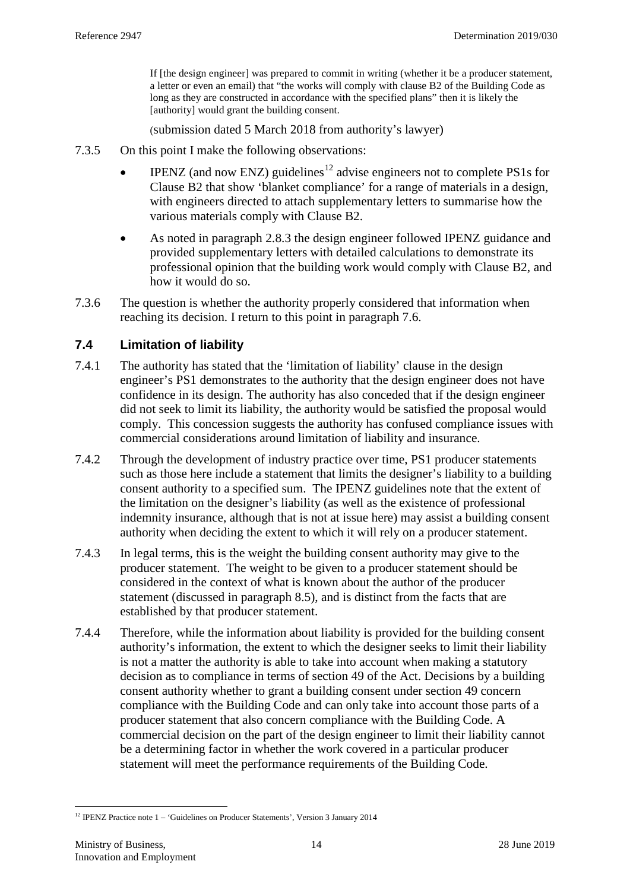If [the design engineer] was prepared to commit in writing (whether it be a producer statement, a letter or even an email) that "the works will comply with clause B2 of the Building Code as long as they are constructed in accordance with the specified plans" then it is likely the [authority] would grant the building consent.

(submission dated 5 March 2018 from authority's lawyer)

- 7.3.5 On this point I make the following observations:
	- IPENZ (and now ENZ) guidelines<sup>[12](#page-13-0)</sup> advise engineers not to complete PS1s for Clause B2 that show 'blanket compliance' for a range of materials in a design, with engineers directed to attach supplementary letters to summarise how the various materials comply with Clause B2.
	- As noted in paragraph [2.8.3](#page-5-1) the design engineer followed IPENZ guidance and provided supplementary letters with detailed calculations to demonstrate its professional opinion that the building work would comply with Clause B2, and how it would do so.
- 7.3.6 The question is whether the authority properly considered that information when reaching its decision. I return to this point in paragraph [7.6.](#page-14-0)

### **7.4 Limitation of liability**

- 7.4.1 The authority has stated that the 'limitation of liability' clause in the design engineer's PS1 demonstrates to the authority that the design engineer does not have confidence in its design. The authority has also conceded that if the design engineer did not seek to limit its liability, the authority would be satisfied the proposal would comply. This concession suggests the authority has confused compliance issues with commercial considerations around limitation of liability and insurance.
- 7.4.2 Through the development of industry practice over time, PS1 producer statements such as those here include a statement that limits the designer's liability to a building consent authority to a specified sum. The IPENZ guidelines note that the extent of the limitation on the designer's liability (as well as the existence of professional indemnity insurance, although that is not at issue here) may assist a building consent authority when deciding the extent to which it will rely on a producer statement.
- 7.4.3 In legal terms, this is the weight the building consent authority may give to the producer statement. The weight to be given to a producer statement should be considered in the context of what is known about the author of the producer statement (discussed in paragraph [8.5\)](#page-15-1), and is distinct from the facts that are established by that producer statement.
- 7.4.4 Therefore, while the information about liability is provided for the building consent authority's information, the extent to which the designer seeks to limit their liability is not a matter the authority is able to take into account when making a statutory decision as to compliance in terms of section 49 of the Act. Decisions by a building consent authority whether to grant a building consent under section 49 concern compliance with the Building Code and can only take into account those parts of a producer statement that also concern compliance with the Building Code. A commercial decision on the part of the design engineer to limit their liability cannot be a determining factor in whether the work covered in a particular producer statement will meet the performance requirements of the Building Code.

<span id="page-13-0"></span><sup>&</sup>lt;sup>12</sup> IPENZ Practice note 1 – 'Guidelines on Producer Statements', Version 3 January 2014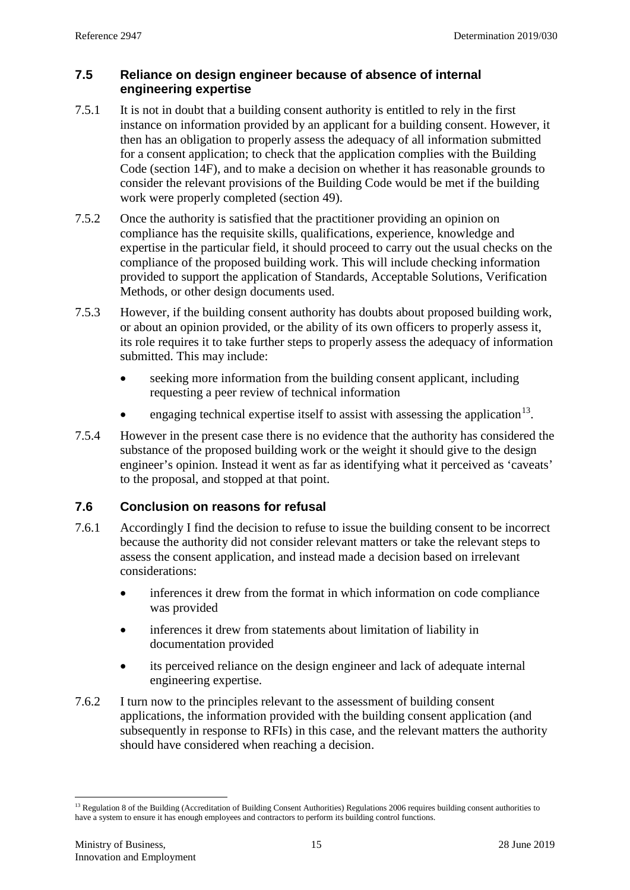#### **7.5 Reliance on design engineer because of absence of internal engineering expertise**

- 7.5.1 It is not in doubt that a building consent authority is entitled to rely in the first instance on information provided by an applicant for a building consent. However, it then has an obligation to properly assess the adequacy of all information submitted for a consent application; to check that the application complies with the Building Code (section 14F), and to make a decision on whether it has reasonable grounds to consider the relevant provisions of the Building Code would be met if the building work were properly completed (section 49).
- 7.5.2 Once the authority is satisfied that the practitioner providing an opinion on compliance has the requisite skills, qualifications, experience, knowledge and expertise in the particular field, it should proceed to carry out the usual checks on the compliance of the proposed building work. This will include checking information provided to support the application of Standards, Acceptable Solutions, Verification Methods, or other design documents used.
- <span id="page-14-2"></span>7.5.3 However, if the building consent authority has doubts about proposed building work, or about an opinion provided, or the ability of its own officers to properly assess it, its role requires it to take further steps to properly assess the adequacy of information submitted. This may include:
	- seeking more information from the building consent applicant, including requesting a peer review of technical information
	- engaging technical expertise itself to assist with assessing the application<sup>[13](#page-14-1)</sup>.
- 7.5.4 However in the present case there is no evidence that the authority has considered the substance of the proposed building work or the weight it should give to the design engineer's opinion. Instead it went as far as identifying what it perceived as 'caveats' to the proposal, and stopped at that point.

## <span id="page-14-0"></span>**7.6 Conclusion on reasons for refusal**

- 7.6.1 Accordingly I find the decision to refuse to issue the building consent to be incorrect because the authority did not consider relevant matters or take the relevant steps to assess the consent application, and instead made a decision based on irrelevant considerations:
	- inferences it drew from the format in which information on code compliance was provided
	- inferences it drew from statements about limitation of liability in documentation provided
	- its perceived reliance on the design engineer and lack of adequate internal engineering expertise.
- 7.6.2 I turn now to the principles relevant to the assessment of building consent applications, the information provided with the building consent application (and subsequently in response to RFIs) in this case, and the relevant matters the authority should have considered when reaching a decision.

<span id="page-14-1"></span> $<sup>13</sup>$  Regulation 8 of the Building (Accreditation of Building Consent Authorities) Regulations 2006 requires building consent authorities to</sup> have a system to ensure it has enough employees and contractors to perform its building control functions.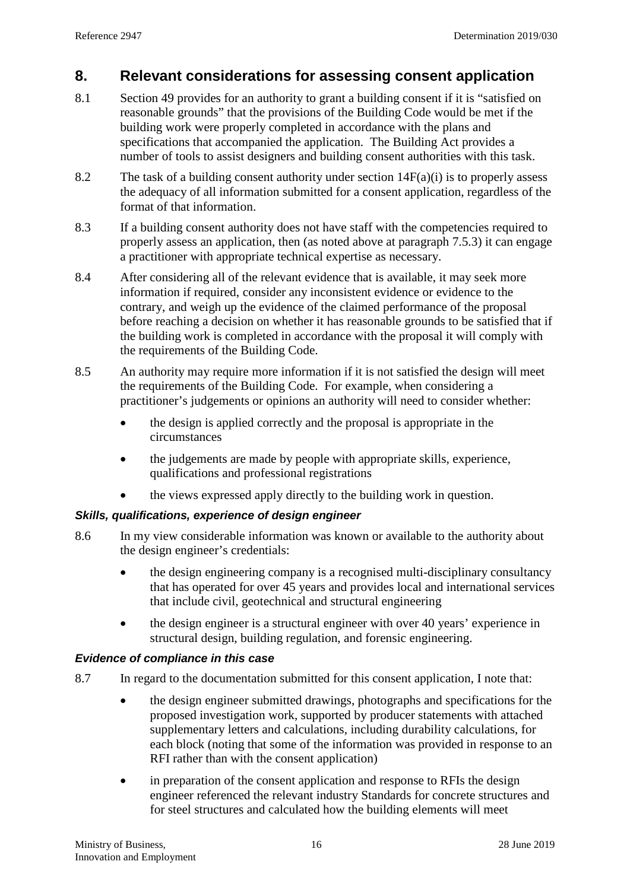## <span id="page-15-0"></span>**8. Relevant considerations for assessing consent application**

- 8.1 Section 49 provides for an authority to grant a building consent if it is "satisfied on reasonable grounds" that the provisions of the Building Code would be met if the building work were properly completed in accordance with the plans and specifications that accompanied the application. The Building Act provides a number of tools to assist designers and building consent authorities with this task.
- 8.2 The task of a building consent authority under section  $14F(a)(i)$  is to properly assess the adequacy of all information submitted for a consent application, regardless of the format of that information.
- 8.3 If a building consent authority does not have staff with the competencies required to properly assess an application, then (as noted above at paragraph [7.5.3\)](#page-14-2) it can engage a practitioner with appropriate technical expertise as necessary.
- 8.4 After considering all of the relevant evidence that is available, it may seek more information if required, consider any inconsistent evidence or evidence to the contrary, and weigh up the evidence of the claimed performance of the proposal before reaching a decision on whether it has reasonable grounds to be satisfied that if the building work is completed in accordance with the proposal it will comply with the requirements of the Building Code.
- <span id="page-15-1"></span>8.5 An authority may require more information if it is not satisfied the design will meet the requirements of the Building Code. For example, when considering a practitioner's judgements or opinions an authority will need to consider whether:
	- the design is applied correctly and the proposal is appropriate in the circumstances
	- the judgements are made by people with appropriate skills, experience, qualifications and professional registrations
	- the views expressed apply directly to the building work in question.

### *Skills, qualifications, experience of design engineer*

- 8.6 In my view considerable information was known or available to the authority about the design engineer's credentials:
	- the design engineering company is a recognised multi-disciplinary consultancy that has operated for over 45 years and provides local and international services that include civil, geotechnical and structural engineering
	- the design engineer is a structural engineer with over 40 years' experience in structural design, building regulation, and forensic engineering.

### *Evidence of compliance in this case*

- 8.7 In regard to the documentation submitted for this consent application, I note that:
	- the design engineer submitted drawings, photographs and specifications for the proposed investigation work, supported by producer statements with attached supplementary letters and calculations, including durability calculations, for each block (noting that some of the information was provided in response to an RFI rather than with the consent application)
	- in preparation of the consent application and response to RFIs the design engineer referenced the relevant industry Standards for concrete structures and for steel structures and calculated how the building elements will meet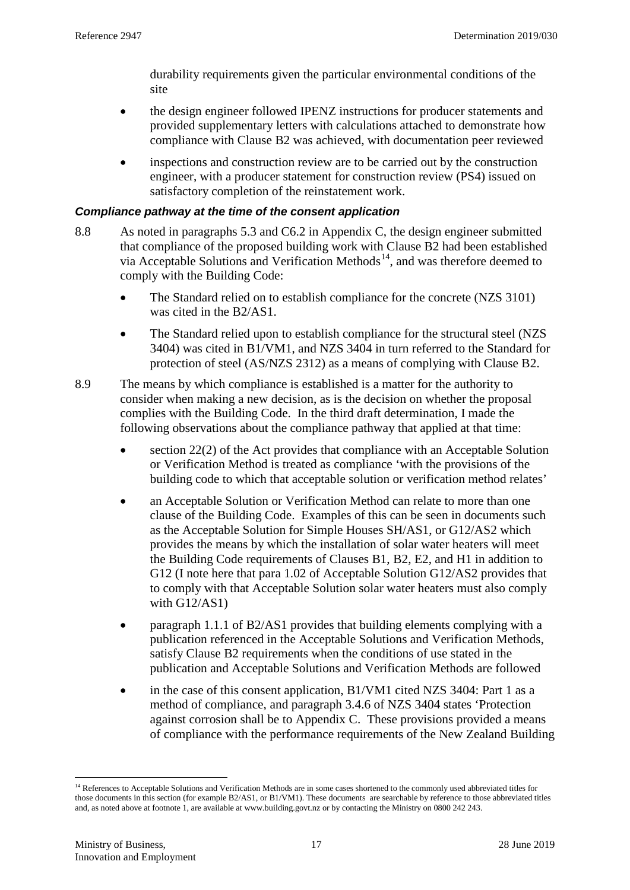durability requirements given the particular environmental conditions of the site

- the design engineer followed IPENZ instructions for producer statements and provided supplementary letters with calculations attached to demonstrate how compliance with Clause B2 was achieved, with documentation peer reviewed
- inspections and construction review are to be carried out by the construction engineer, with a producer statement for construction review (PS4) issued on satisfactory completion of the reinstatement work.

#### *Compliance pathway at the time of the consent application*

- 8.8 As noted in paragraphs [5.3](#page-9-2) and [C6.2](#page-27-1) in Appendix C, the design engineer submitted that compliance of the proposed building work with Clause B2 had been established via Acceptable Solutions and Verification Methods<sup>14</sup>, and was therefore deemed to comply with the Building Code:
	- The Standard relied on to establish compliance for the concrete (NZS 3101) was cited in the B2/AS1.
	- The Standard relied upon to establish compliance for the structural steel (NZS 3404) was cited in B1/VM1, and NZS 3404 in turn referred to the Standard for protection of steel (AS/NZS 2312) as a means of complying with Clause B2.
- <span id="page-16-1"></span>8.9 The means by which compliance is established is a matter for the authority to consider when making a new decision, as is the decision on whether the proposal complies with the Building Code. In the third draft determination, I made the following observations about the compliance pathway that applied at that time:
	- section 22(2) of the Act provides that compliance with an Acceptable Solution or Verification Method is treated as compliance 'with the provisions of the building code to which that acceptable solution or verification method relates'
	- an Acceptable Solution or Verification Method can relate to more than one clause of the Building Code. Examples of this can be seen in documents such as the Acceptable Solution for Simple Houses SH/AS1, or G12/AS2 which provides the means by which the installation of solar water heaters will meet the Building Code requirements of Clauses B1, B2, E2, and H1 in addition to G12 (I note here that para 1.02 of Acceptable Solution G12/AS2 provides that to comply with that Acceptable Solution solar water heaters must also comply with G12/AS1)
	- paragraph 1.1.1 of B2/AS1 provides that building elements complying with a publication referenced in the Acceptable Solutions and Verification Methods, satisfy Clause B2 requirements when the conditions of use stated in the publication and Acceptable Solutions and Verification Methods are followed
	- in the case of this consent application, B1/VM1 cited NZS 3404: Part 1 as a method of compliance, and paragraph 3.4.6 of NZS 3404 states 'Protection against corrosion shall be to Appendix C. These provisions provided a means of compliance with the performance requirements of the New Zealand Building

<span id="page-16-0"></span><sup>&</sup>lt;sup>14</sup> References to Acceptable Solutions and Verification Methods are in some cases shortened to the commonly used abbreviated titles for those documents in this section (for example B2/AS1, or B1/VM1). These documents are searchable by reference to those abbreviated titles and, as noted above at footnote 1, are available at www.building.govt.nz or by contacting the Ministry on 0800 242 243.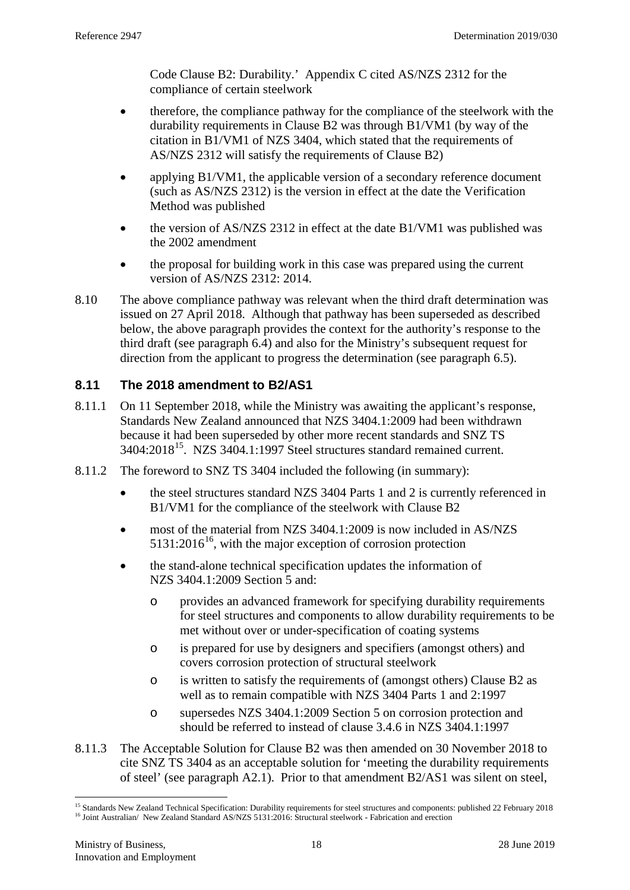Code Clause B2: Durability.' Appendix C cited AS/NZS 2312 for the compliance of certain steelwork

- therefore, the compliance pathway for the compliance of the steelwork with the durability requirements in Clause B2 was through B1/VM1 (by way of the citation in B1/VM1 of NZS 3404, which stated that the requirements of AS/NZS 2312 will satisfy the requirements of Clause B2)
- applying B1/VM1, the applicable version of a secondary reference document (such as AS/NZS 2312) is the version in effect at the date the Verification Method was published
- the version of AS/NZS 2312 in effect at the date B1/VM1 was published was the 2002 amendment
- the proposal for building work in this case was prepared using the current version of AS/NZS 2312: 2014.
- 8.10 The above compliance pathway was relevant when the third draft determination was issued on 27 April 2018. Although that pathway has been superseded as described below, the above paragraph provides the context for the authority's response to the third draft (see paragraph [6.4\)](#page-10-1) and also for the Ministry's subsequent request for direction from the applicant to progress the determination (see paragraph [6.5\)](#page-11-0).

### <span id="page-17-0"></span>**8.11 The 2018 amendment to B2/AS1**

- 8.11.1 On 11 September 2018, while the Ministry was awaiting the applicant's response, Standards New Zealand announced that NZS 3404.1:2009 had been withdrawn because it had been superseded by other more recent standards and SNZ TS 3404:2018[15.](#page-17-1) NZS 3404.1:1997 Steel structures standard remained current.
- 8.11.2 The foreword to SNZ TS 3404 included the following (in summary):
	- the steel structures standard NZS 3404 Parts 1 and 2 is currently referenced in B1/VM1 for the compliance of the steelwork with Clause B2
	- most of the material from NZS 3404.1:2009 is now included in AS/NZS  $5131:2016^{16}$ , with the major exception of corrosion protection
	- the stand-alone technical specification updates the information of NZS 3404.1:2009 Section 5 and:
		- o provides an advanced framework for specifying durability requirements for steel structures and components to allow durability requirements to be met without over or under-specification of coating systems
		- o is prepared for use by designers and specifiers (amongst others) and covers corrosion protection of structural steelwork
		- o is written to satisfy the requirements of (amongst others) Clause B2 as well as to remain compatible with NZS 3404 Parts 1 and 2:1997
		- o supersedes NZS 3404.1:2009 Section 5 on corrosion protection and should be referred to instead of clause 3.4.6 in NZS 3404.1:1997
- 8.11.3 The Acceptable Solution for Clause B2 was then amended on 30 November 2018 to cite SNZ TS 3404 as an acceptable solution for 'meeting the durability requirements of steel' (see paragraph [A2.1\)](#page-20-0). Prior to that amendment B2/AS1 was silent on steel,

<span id="page-17-2"></span><span id="page-17-1"></span><sup>&</sup>lt;sup>15</sup> Standards New Zealand Technical Specification: Durability requirements for steel structures and components: published 22 February 2018 <sup>16</sup> Joint Australian/ New Zealand Standard AS/NZS 5131:2016: Structural steelwork - Fabrication and erection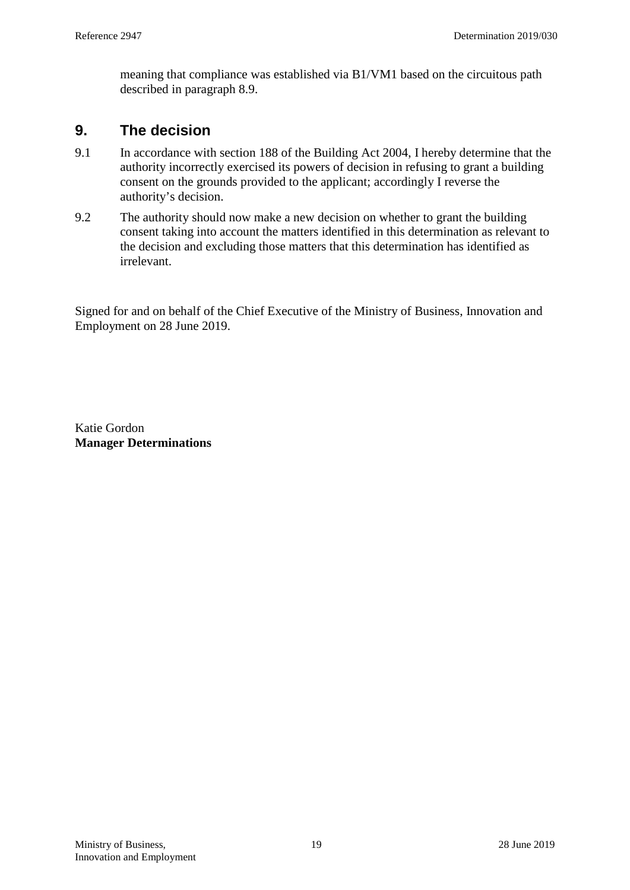meaning that compliance was established via B1/VM1 based on the circuitous path described in paragraph [8.9.](#page-16-1)

## **9. The decision**

- 9.1 In accordance with section 188 of the Building Act 2004, I hereby determine that the authority incorrectly exercised its powers of decision in refusing to grant a building consent on the grounds provided to the applicant; accordingly I reverse the authority's decision.
- 9.2 The authority should now make a new decision on whether to grant the building consent taking into account the matters identified in this determination as relevant to the decision and excluding those matters that this determination has identified as irrelevant.

Signed for and on behalf of the Chief Executive of the Ministry of Business, Innovation and Employment on 28 June 2019.

Katie Gordon **Manager Determinations**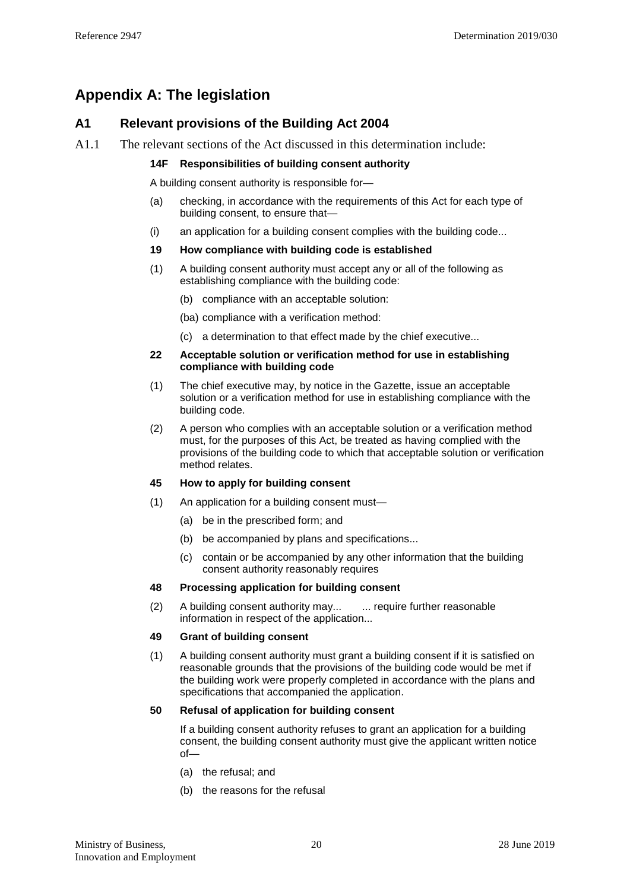## **Appendix A: The legislation**

#### **A1 Relevant provisions of the Building Act 2004**

A1.1 The relevant sections of the Act discussed in this determination include:

#### **14F Responsibilities of building consent authority**

A building consent authority is responsible for—

- (a) checking, in accordance with the requirements of this Act for each type of building consent, to ensure that—
- (i) an application for a building consent complies with the building code...

#### **19 How compliance with building code is established**

- (1) A building consent authority must accept any or all of the following as establishing compliance with the building code:
	- (b) compliance with an acceptable solution:
	- (ba) compliance with a verification method:
	- (c) a determination to that effect made by the chief executive...

#### **22 Acceptable solution or verification method for use in establishing compliance with building code**

- (1) The chief executive may, by notice in the Gazette, issue an acceptable solution or a verification method for use in establishing compliance with the building code.
- (2) A person who complies with an acceptable solution or a verification method must, for the purposes of this Act, be treated as having complied with the provisions of the building code to which that acceptable solution or verification method relates.

#### **45 How to apply for building consent**

- (1) An application for a building consent must—
	- (a) be in the prescribed form; and
	- (b) be accompanied by plans and specifications...
	- (c) contain or be accompanied by any other information that the building consent authority reasonably requires

#### **48 Processing application for building consent**

(2) A building consent authority may... ... require further reasonable information in respect of the application...

#### **49 Grant of building consent**

(1) A building consent authority must grant a building consent if it is satisfied on reasonable grounds that the provisions of the building code would be met if the building work were properly completed in accordance with the plans and specifications that accompanied the application.

#### **50 Refusal of application for building consent**

If a building consent authority refuses to grant an application for a building consent, the building consent authority must give the applicant written notice of—

- (a) the refusal; and
- (b) the reasons for the refusal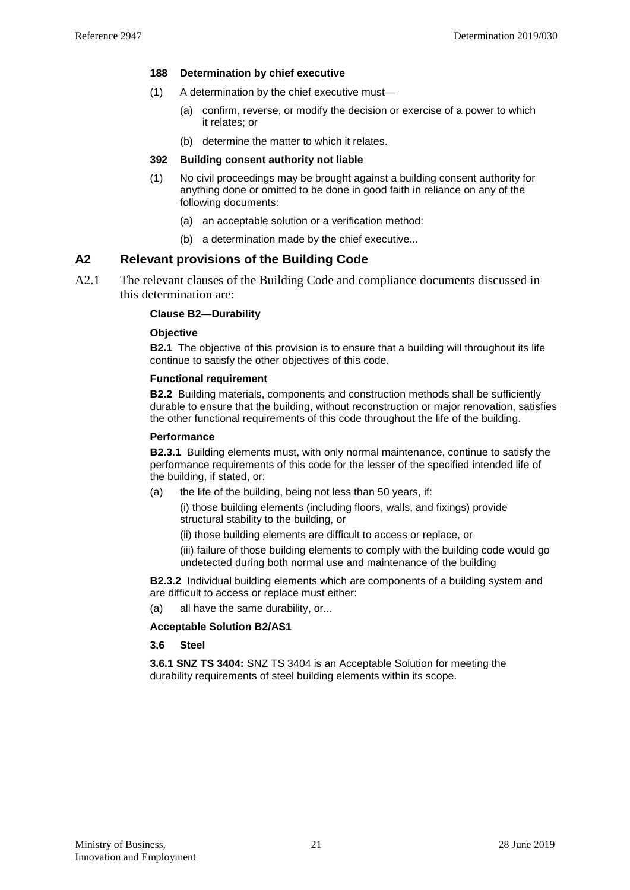#### **188 Determination by chief executive**

- (1) A determination by the chief executive must—
	- (a) confirm, reverse, or modify the decision or exercise of a power to which it relates; or
	- (b) determine the matter to which it relates.

#### **392 Building consent authority not liable**

- (1) No civil proceedings may be brought against a building consent authority for anything done or omitted to be done in good faith in reliance on any of the following documents:
	- (a) an acceptable solution or a verification method:
	- (b) a determination made by the chief executive...

#### **A2 Relevant provisions of the Building Code**

<span id="page-20-0"></span>A2.1 The relevant clauses of the Building Code and compliance documents discussed in this determination are:

#### **Clause B2—Durability**

#### **Objective**

**B2.1** The objective of this provision is to ensure that a building will throughout its life continue to satisfy the other objectives of this code.

#### **Functional requirement**

**B2.2** Building materials, components and construction methods shall be sufficiently durable to ensure that the building, without reconstruction or major renovation, satisfies the other functional requirements of this code throughout the life of the building.

#### **Performance**

**B2.3.1** Building elements must, with only normal maintenance, continue to satisfy the performance requirements of this code for the lesser of the specified intended life of the building, if stated, or:

(a) the life of the building, being not less than 50 years, if:

(i) those building elements (including floors, walls, and fixings) provide structural stability to the building, or

- (ii) those building elements are difficult to access or replace, or
- (iii) failure of those building elements to comply with the building code would go undetected during both normal use and maintenance of the building

**B2.3.2** Individual building elements which are components of a building system and are difficult to access or replace must either:

(a) all have the same durability, or...

#### **Acceptable Solution B2/AS1**

#### **3.6 Steel**

**3.6.1 SNZ TS 3404:** SNZ TS 3404 is an Acceptable Solution for meeting the durability requirements of steel building elements within its scope.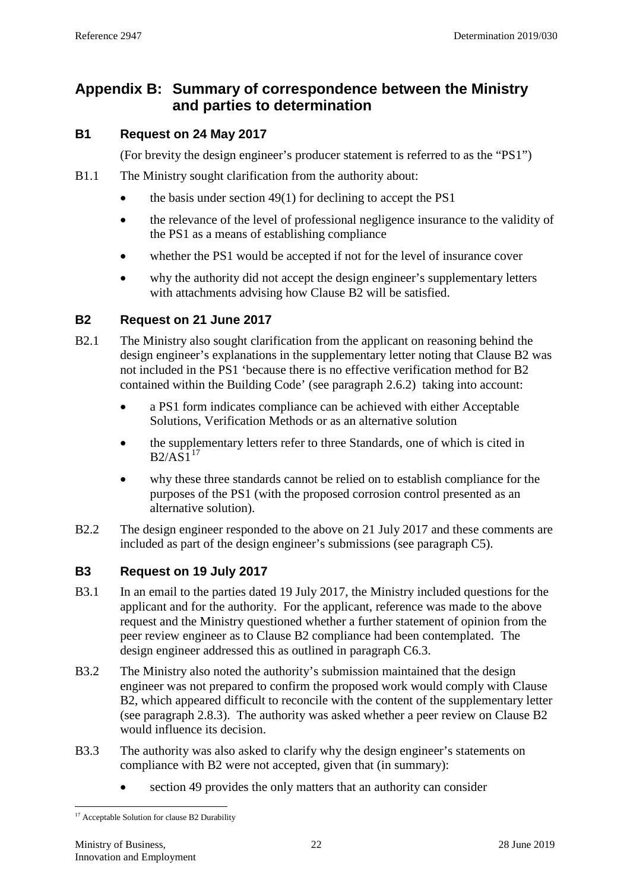## **Appendix B: Summary of correspondence between the Ministry and parties to determination**

### **B1 Request on 24 May 2017**

(For brevity the design engineer's producer statement is referred to as the "PS1")

- B1.1 The Ministry sought clarification from the authority about:
	- the basis under section  $49(1)$  for declining to accept the PS1
	- the relevance of the level of professional negligence insurance to the validity of the PS1 as a means of establishing compliance
	- whether the PS1 would be accepted if not for the level of insurance cover
	- why the authority did not accept the design engineer's supplementary letters with attachments advising how Clause B2 will be satisfied.

### **B2 Request on 21 June 2017**

- B2.1 The Ministry also sought clarification from the applicant on reasoning behind the design engineer's explanations in the supplementary letter noting that Clause B2 was not included in the PS1 'because there is no effective verification method for B2 contained within the Building Code' (see paragraph [2.6.2\)](#page-4-3) taking into account:
	- a PS1 form indicates compliance can be achieved with either Acceptable Solutions, Verification Methods or as an alternative solution
	- the supplementary letters refer to three Standards, one of which is cited in  $B2/AS1<sup>17</sup>$  $B2/AS1<sup>17</sup>$  $B2/AS1<sup>17</sup>$
	- why these three standards cannot be relied on to establish compliance for the purposes of the PS1 (with the proposed corrosion control presented as an alternative solution).
- B2.2 The design engineer responded to the above on 21 July 2017 and these comments are included as part of the design engineer's submissions (see paragraph [C5\)](#page-26-0).

### <span id="page-21-1"></span>**B3 Request on 19 July 2017**

- B3.1 In an email to the parties dated 19 July 2017, the Ministry included questions for the applicant and for the authority. For the applicant, reference was made to the above request and the Ministry questioned whether a further statement of opinion from the peer review engineer as to Clause B2 compliance had been contemplated. The design engineer addressed this as outlined in paragraph [C6.3.](#page-27-2)
- B3.2 The Ministry also noted the authority's submission maintained that the design engineer was not prepared to confirm the proposed work would comply with Clause B2, which appeared difficult to reconcile with the content of the supplementary letter (see paragraph [2.8.3\)](#page-5-1). The authority was asked whether a peer review on Clause B2 would influence its decision.
- B3.3 The authority was also asked to clarify why the design engineer's statements on compliance with B2 were not accepted, given that (in summary):
	- section 49 provides the only matters that an authority can consider

<span id="page-21-0"></span><sup>&</sup>lt;sup>17</sup> Acceptable Solution for clause B2 Durability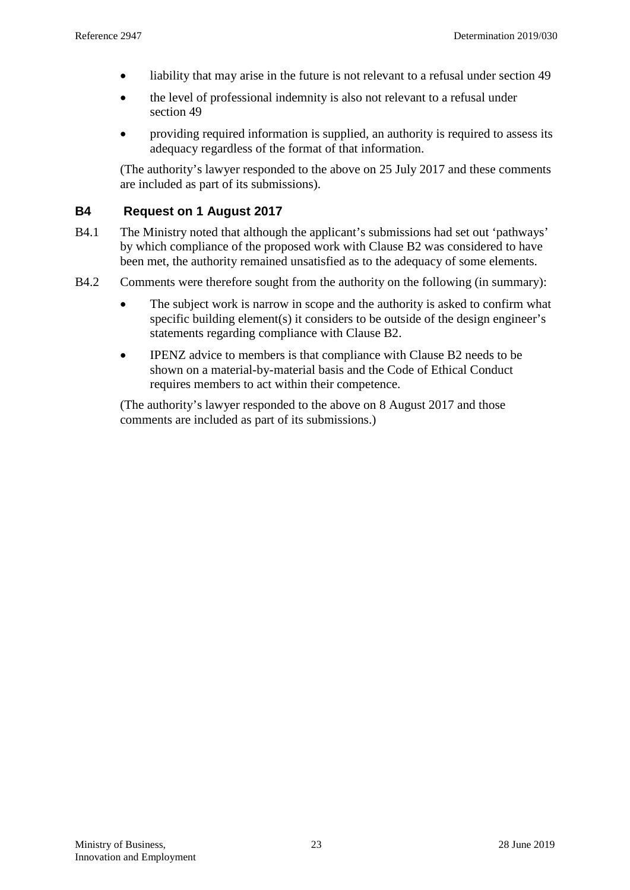- liability that may arise in the future is not relevant to a refusal under section 49
- the level of professional indemnity is also not relevant to a refusal under section 49
- providing required information is supplied, an authority is required to assess its adequacy regardless of the format of that information.

<span id="page-22-0"></span>(The authority's lawyer responded to the above on 25 July 2017 and these comments are included as part of its submissions).

#### **B4 Request on 1 August 2017**

- B4.1 The Ministry noted that although the applicant's submissions had set out 'pathways' by which compliance of the proposed work with Clause B2 was considered to have been met, the authority remained unsatisfied as to the adequacy of some elements.
- B4.2 Comments were therefore sought from the authority on the following (in summary):
	- The subject work is narrow in scope and the authority is asked to confirm what specific building element(s) it considers to be outside of the design engineer's statements regarding compliance with Clause B2.
	- IPENZ advice to members is that compliance with Clause B2 needs to be shown on a material-by-material basis and the Code of Ethical Conduct requires members to act within their competence.

(The authority's lawyer responded to the above on 8 August 2017 and those comments are included as part of its submissions.)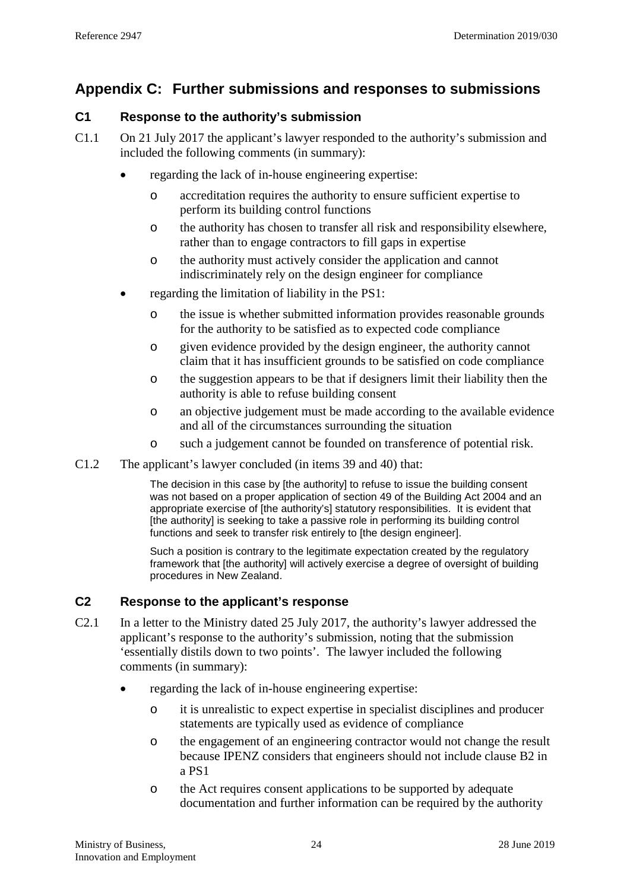## **Appendix C: Further submissions and responses to submissions**

### **C1 Response to the authority's submission**

- C1.1 On 21 July 2017 the applicant's lawyer responded to the authority's submission and included the following comments (in summary):
	- regarding the lack of in-house engineering expertise:
		- o accreditation requires the authority to ensure sufficient expertise to perform its building control functions
		- o the authority has chosen to transfer all risk and responsibility elsewhere, rather than to engage contractors to fill gaps in expertise
		- o the authority must actively consider the application and cannot indiscriminately rely on the design engineer for compliance
	- regarding the limitation of liability in the PS1:
		- o the issue is whether submitted information provides reasonable grounds for the authority to be satisfied as to expected code compliance
		- o given evidence provided by the design engineer, the authority cannot claim that it has insufficient grounds to be satisfied on code compliance
		- o the suggestion appears to be that if designers limit their liability then the authority is able to refuse building consent
		- o an objective judgement must be made according to the available evidence and all of the circumstances surrounding the situation
		- o such a judgement cannot be founded on transference of potential risk.
- C1.2 The applicant's lawyer concluded (in items 39 and 40) that:

The decision in this case by [the authority] to refuse to issue the building consent was not based on a proper application of section 49 of the Building Act 2004 and an appropriate exercise of [the authority's] statutory responsibilities. It is evident that [the authority] is seeking to take a passive role in performing its building control functions and seek to transfer risk entirely to [the design engineer].

Such a position is contrary to the legitimate expectation created by the regulatory framework that [the authority] will actively exercise a degree of oversight of building procedures in New Zealand.

#### **C2 Response to the applicant's response**

- C2.1 In a letter to the Ministry dated 25 July 2017, the authority's lawyer addressed the applicant's response to the authority's submission, noting that the submission 'essentially distils down to two points'. The lawyer included the following comments (in summary):
	- regarding the lack of in-house engineering expertise:
		- o it is unrealistic to expect expertise in specialist disciplines and producer statements are typically used as evidence of compliance
		- o the engagement of an engineering contractor would not change the result because IPENZ considers that engineers should not include clause B2 in a PS1
		- o the Act requires consent applications to be supported by adequate documentation and further information can be required by the authority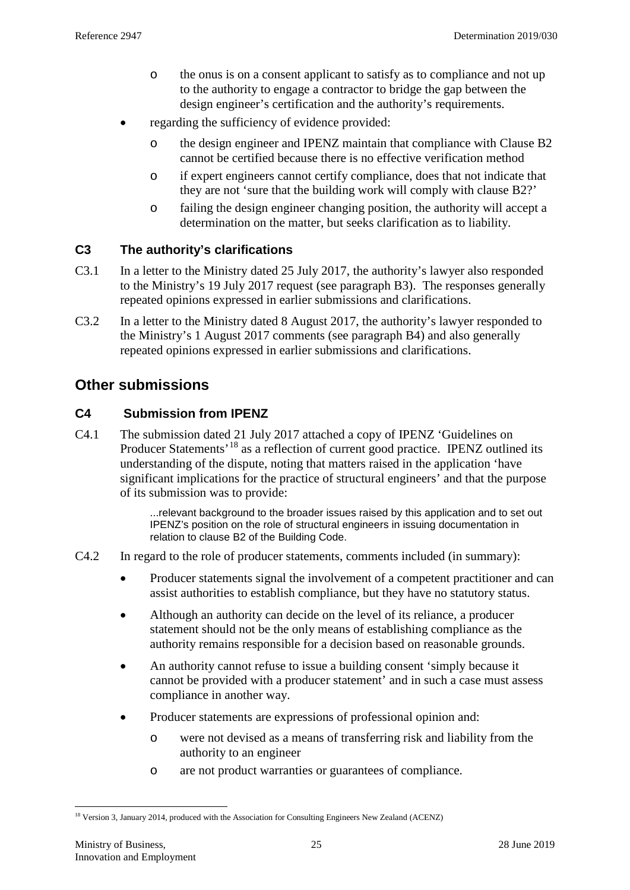- o the onus is on a consent applicant to satisfy as to compliance and not up to the authority to engage a contractor to bridge the gap between the design engineer's certification and the authority's requirements.
- regarding the sufficiency of evidence provided:
	- o the design engineer and IPENZ maintain that compliance with Clause B2 cannot be certified because there is no effective verification method
	- o if expert engineers cannot certify compliance, does that not indicate that they are not 'sure that the building work will comply with clause B2?'
	- o failing the design engineer changing position, the authority will accept a determination on the matter, but seeks clarification as to liability.

#### **C3 The authority's clarifications**

- C3.1 In a letter to the Ministry dated 25 July 2017, the authority's lawyer also responded to the Ministry's 19 July 2017 request (see paragraph [B3\)](#page-21-1). The responses generally repeated opinions expressed in earlier submissions and clarifications.
- C3.2 In a letter to the Ministry dated 8 August 2017, the authority's lawyer responded to the Ministry's 1 August 2017 comments (see paragraph [B4\)](#page-22-0) and also generally repeated opinions expressed in earlier submissions and clarifications.

## **Other submissions**

### **C4 Submission from IPENZ**

C4.1 The submission dated 21 July 2017 attached a copy of IPENZ 'Guidelines on Producer Statements<sup>, [18](#page-24-0)</sup> as a reflection of current good practice. IPENZ outlined its understanding of the dispute, noting that matters raised in the application 'have significant implications for the practice of structural engineers' and that the purpose of its submission was to provide:

> ...relevant background to the broader issues raised by this application and to set out IPENZ's position on the role of structural engineers in issuing documentation in relation to clause B2 of the Building Code.

- C4.2 In regard to the role of producer statements, comments included (in summary):
	- Producer statements signal the involvement of a competent practitioner and can assist authorities to establish compliance, but they have no statutory status.
	- Although an authority can decide on the level of its reliance, a producer statement should not be the only means of establishing compliance as the authority remains responsible for a decision based on reasonable grounds.
	- An authority cannot refuse to issue a building consent 'simply because it cannot be provided with a producer statement' and in such a case must assess compliance in another way.
	- Producer statements are expressions of professional opinion and:
		- o were not devised as a means of transferring risk and liability from the authority to an engineer
		- o are not product warranties or guarantees of compliance.

<span id="page-24-0"></span><sup>&</sup>lt;sup>18</sup> Version 3, January 2014, produced with the Association for Consulting Engineers New Zealand (ACENZ)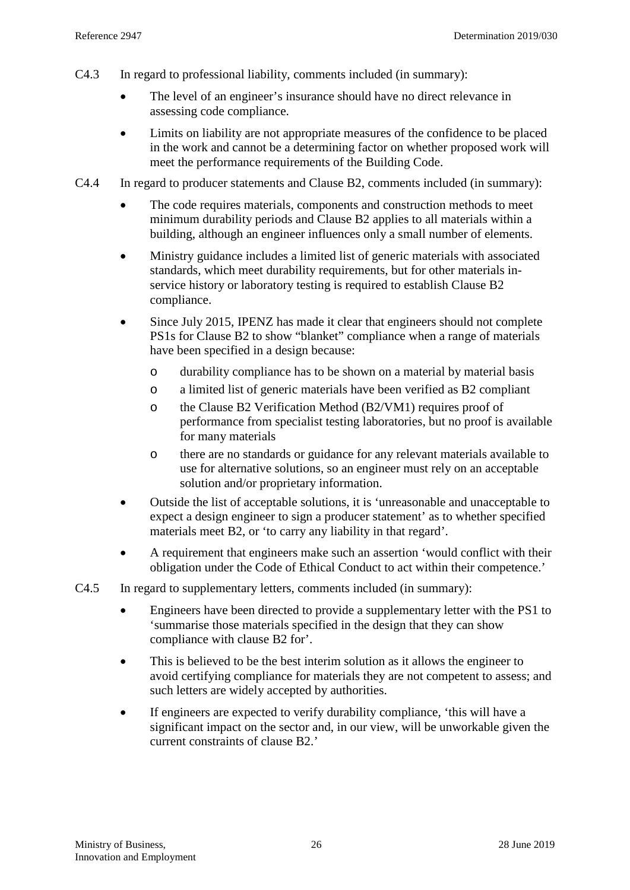- C4.3 In regard to professional liability, comments included (in summary):
	- The level of an engineer's insurance should have no direct relevance in assessing code compliance.
	- Limits on liability are not appropriate measures of the confidence to be placed in the work and cannot be a determining factor on whether proposed work will meet the performance requirements of the Building Code.
- C4.4 In regard to producer statements and Clause B2, comments included (in summary):
	- The code requires materials, components and construction methods to meet minimum durability periods and Clause B2 applies to all materials within a building, although an engineer influences only a small number of elements.
	- Ministry guidance includes a limited list of generic materials with associated standards, which meet durability requirements, but for other materials inservice history or laboratory testing is required to establish Clause B2 compliance.
	- Since July 2015, IPENZ has made it clear that engineers should not complete PS1s for Clause B2 to show "blanket" compliance when a range of materials have been specified in a design because:
		- o durability compliance has to be shown on a material by material basis
		- o a limited list of generic materials have been verified as B2 compliant
		- o the Clause B2 Verification Method (B2/VM1) requires proof of performance from specialist testing laboratories, but no proof is available for many materials
		- o there are no standards or guidance for any relevant materials available to use for alternative solutions, so an engineer must rely on an acceptable solution and/or proprietary information.
	- Outside the list of acceptable solutions, it is 'unreasonable and unacceptable to expect a design engineer to sign a producer statement' as to whether specified materials meet B2, or 'to carry any liability in that regard'.
	- A requirement that engineers make such an assertion 'would conflict with their obligation under the Code of Ethical Conduct to act within their competence.'
- C4.5 In regard to supplementary letters, comments included (in summary):
	- Engineers have been directed to provide a supplementary letter with the PS1 to 'summarise those materials specified in the design that they can show compliance with clause B2 for'.
	- This is believed to be the best interim solution as it allows the engineer to avoid certifying compliance for materials they are not competent to assess; and such letters are widely accepted by authorities.
	- If engineers are expected to verify durability compliance, 'this will have a significant impact on the sector and, in our view, will be unworkable given the current constraints of clause B2.'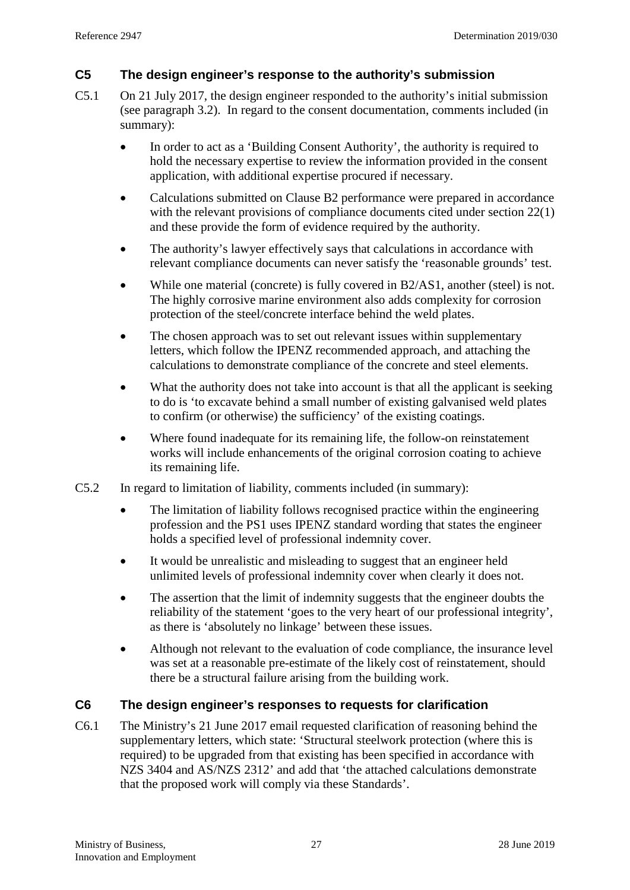#### <span id="page-26-0"></span>**C5 The design engineer's response to the authority's submission**

- <span id="page-26-1"></span>C5.1 On 21 July 2017, the design engineer responded to the authority's initial submission (see paragraph [3.2\)](#page-7-0). In regard to the consent documentation, comments included (in summary):
	- In order to act as a 'Building Consent Authority', the authority is required to hold the necessary expertise to review the information provided in the consent application, with additional expertise procured if necessary.
	- Calculations submitted on Clause B2 performance were prepared in accordance with the relevant provisions of compliance documents cited under section 22(1) and these provide the form of evidence required by the authority.
	- The authority's lawyer effectively says that calculations in accordance with relevant compliance documents can never satisfy the 'reasonable grounds' test.
	- While one material (concrete) is fully covered in B2/AS1, another (steel) is not. The highly corrosive marine environment also adds complexity for corrosion protection of the steel/concrete interface behind the weld plates.
	- The chosen approach was to set out relevant issues within supplementary letters, which follow the IPENZ recommended approach, and attaching the calculations to demonstrate compliance of the concrete and steel elements.
	- What the authority does not take into account is that all the applicant is seeking to do is 'to excavate behind a small number of existing galvanised weld plates to confirm (or otherwise) the sufficiency' of the existing coatings.
	- Where found inadequate for its remaining life, the follow-on reinstatement works will include enhancements of the original corrosion coating to achieve its remaining life.
- C5.2 In regard to limitation of liability, comments included (in summary):
	- The limitation of liability follows recognised practice within the engineering profession and the PS1 uses IPENZ standard wording that states the engineer holds a specified level of professional indemnity cover.
	- It would be unrealistic and misleading to suggest that an engineer held unlimited levels of professional indemnity cover when clearly it does not.
	- The assertion that the limit of indemnity suggests that the engineer doubts the reliability of the statement 'goes to the very heart of our professional integrity', as there is 'absolutely no linkage' between these issues.
	- Although not relevant to the evaluation of code compliance, the insurance level was set at a reasonable pre-estimate of the likely cost of reinstatement, should there be a structural failure arising from the building work.

### **C6 The design engineer's responses to requests for clarification**

C6.1 The Ministry's 21 June 2017 email requested clarification of reasoning behind the supplementary letters, which state: 'Structural steelwork protection (where this is required) to be upgraded from that existing has been specified in accordance with NZS 3404 and AS/NZS 2312' and add that 'the attached calculations demonstrate that the proposed work will comply via these Standards'.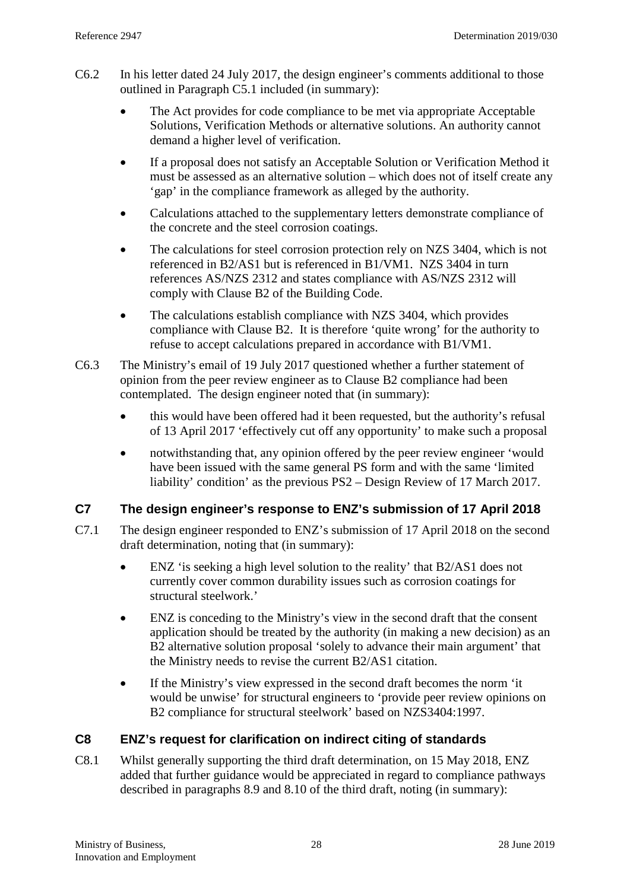- <span id="page-27-1"></span>C6.2 In his letter dated 24 July 2017, the design engineer's comments additional to those outlined in Paragraph [C5.1](#page-26-1) included (in summary):
	- The Act provides for code compliance to be met via appropriate Acceptable Solutions, Verification Methods or alternative solutions. An authority cannot demand a higher level of verification.
	- If a proposal does not satisfy an Acceptable Solution or Verification Method it must be assessed as an alternative solution – which does not of itself create any 'gap' in the compliance framework as alleged by the authority.
	- Calculations attached to the supplementary letters demonstrate compliance of the concrete and the steel corrosion coatings.
	- The calculations for steel corrosion protection rely on NZS 3404, which is not referenced in B2/AS1 but is referenced in B1/VM1. NZS 3404 in turn references AS/NZS 2312 and states compliance with AS/NZS 2312 will comply with Clause B2 of the Building Code.
	- The calculations establish compliance with NZS 3404, which provides compliance with Clause B2. It is therefore 'quite wrong' for the authority to refuse to accept calculations prepared in accordance with B1/VM1.
- <span id="page-27-2"></span>C6.3 The Ministry's email of 19 July 2017 questioned whether a further statement of opinion from the peer review engineer as to Clause B2 compliance had been contemplated. The design engineer noted that (in summary):
	- this would have been offered had it been requested, but the authority's refusal of 13 April 2017 'effectively cut off any opportunity' to make such a proposal
	- notwithstanding that, any opinion offered by the peer review engineer 'would have been issued with the same general PS form and with the same 'limited liability' condition' as the previous PS2 – Design Review of 17 March 2017.

### **C7 The design engineer's response to ENZ's submission of 17 April 2018**

- C7.1 The design engineer responded to ENZ's submission of 17 April 2018 on the second draft determination, noting that (in summary):
	- ENZ 'is seeking a high level solution to the reality' that B2/AS1 does not currently cover common durability issues such as corrosion coatings for structural steelwork.'
	- ENZ is conceding to the Ministry's view in the second draft that the consent application should be treated by the authority (in making a new decision) as an B2 alternative solution proposal 'solely to advance their main argument' that the Ministry needs to revise the current B2/AS1 citation.
	- If the Ministry's view expressed in the second draft becomes the norm 'it would be unwise' for structural engineers to 'provide peer review opinions on B2 compliance for structural steelwork' based on NZS3404:1997.

### <span id="page-27-0"></span>**C8 ENZ's request for clarification on indirect citing of standards**

C8.1 Whilst generally supporting the third draft determination, on 15 May 2018, ENZ added that further guidance would be appreciated in regard to compliance pathways described in paragraphs 8.9 and 8.10 of the third draft, noting (in summary):